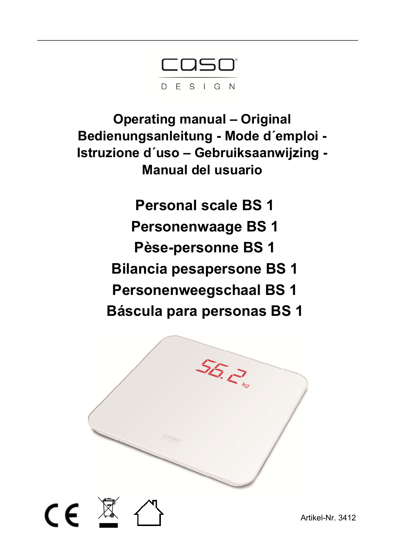COSO® DESIGN

**Operating manual – Original Bedienungsanleitung - Mode d´emploi - Istruzione d´uso – Gebruiksaanwijzing - Manual del usuario** 

> **Personal scale BS 1 Personenwaage BS 1 Pèse-personne BS 1 Bilancia pesapersone BS 1 Personenweegschaal BS 1 Báscula para personas BS 1**

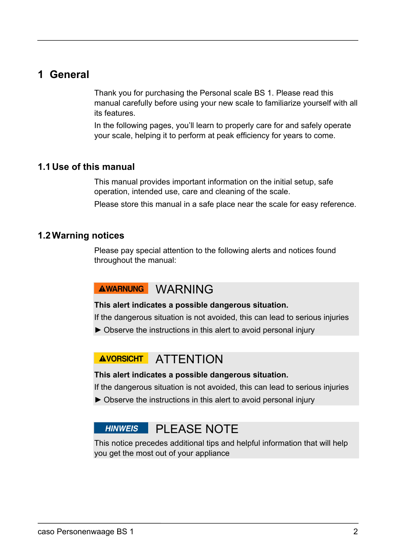### **1 General**

Thank you for purchasing the Personal scale BS 1. Please read this manual carefully before using your new scale to familiarize yourself with all its features.

In the following pages, you'll learn to properly care for and safely operate your scale, helping it to perform at peak efficiency for years to come.

#### **1.1 Use of this manual**

This manual provides important information on the initial setup, safe operation, intended use, care and cleaning of the scale.

Please store this manual in a safe place near the scale for easy reference.

#### **1.2 Warning notices**

Please pay special attention to the following alerts and notices found throughout the manual:

# AWARNUNG WARNING

#### **This alert indicates a possible dangerous situation.**

If the dangerous situation is not avoided, this can lead to serious injuries

► Observe the instructions in this alert to avoid personal injury

# AVORSICHT ATTENTION

#### **This alert indicates a possible dangerous situation.**

If the dangerous situation is not avoided, this can lead to serious injuries

► Observe the instructions in this alert to avoid personal injury

# HINWEIS PI FASE NOTE

This notice precedes additional tips and helpful information that will help you get the most out of your appliance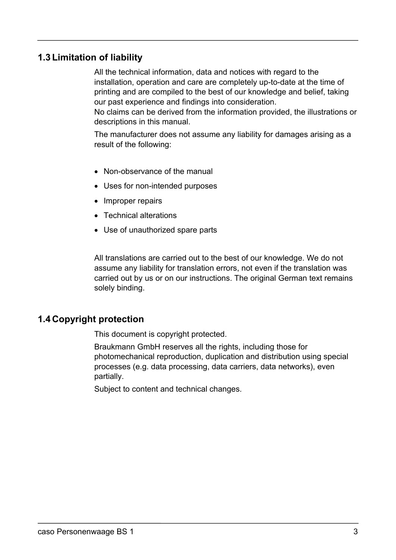#### **1.3 Limitation of liability**

All the technical information, data and notices with regard to the installation, operation and care are completely up-to-date at the time of printing and are compiled to the best of our knowledge and belief, taking our past experience and findings into consideration.

No claims can be derived from the information provided, the illustrations or descriptions in this manual.

The manufacturer does not assume any liability for damages arising as a result of the following:

- Non-observance of the manual
- Uses for non-intended purposes
- Improper repairs
- Technical alterations
- Use of unauthorized spare parts

All translations are carried out to the best of our knowledge. We do not assume any liability for translation errors, not even if the translation was carried out by us or on our instructions. The original German text remains solely binding.

#### **1.4 Copyright protection**

This document is copyright protected.

Braukmann GmbH reserves all the rights, including those for photomechanical reproduction, duplication and distribution using special processes (e.g. data processing, data carriers, data networks), even partially.

Subject to content and technical changes.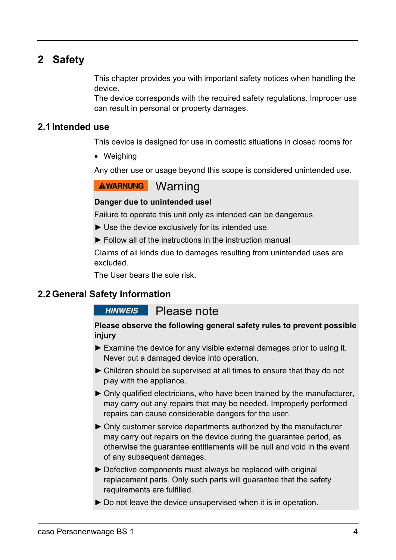# **2 Safety**

This chapter provides you with important safety notices when handling the device.

The device corresponds with the required safety regulations. Improper use can result in personal or property damages.

#### **2.1 Intended use**

This device is designed for use in domestic situations in closed rooms for

• Weighing

Any other use or usage beyond this scope is considered unintended use.

### **AWARNUNG** Warning

#### **Danger due to unintended use!**

Failure to operate this unit only as intended can be dangerous

- $\blacktriangleright$  Use the device exclusively for its intended use.
- $\blacktriangleright$  Follow all of the instructions in the instruction manual

Claims of all kinds due to damages resulting from unintended uses are excluded.

The User bears the sole risk.

#### **2.2 General Safety information**

#### **HINWEIS** Please note

#### **Please observe the following general safety rules to prevent possible injury**

- ► Examine the device for any visible external damages prior to using it. Never put a damaged device into operation.
- ► Children should be supervised at all times to ensure that they do not play with the appliance.
- ► Only qualified electricians, who have been trained by the manufacturer, may carry out any repairs that may be needed. Improperly performed repairs can cause considerable dangers for the user.
- ► Only customer service departments authorized by the manufacturer may carry out repairs on the device during the guarantee period, as otherwise the guarantee entitlements will be null and void in the event of any subsequent damages.
- ► Defective components must always be replaced with original replacement parts. Only such parts will guarantee that the safety requirements are fulfilled.
- ► Do not leave the device unsupervised when it is in operation.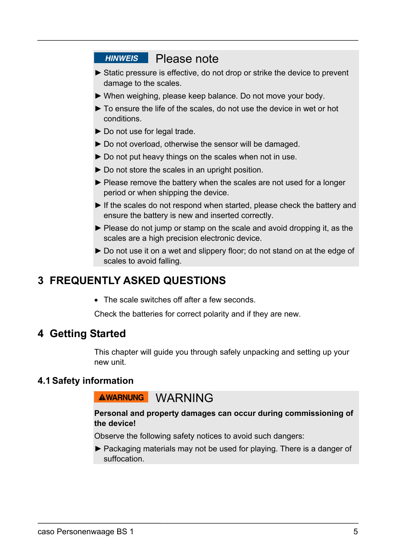# **HINWEIS** Please note

- ► Static pressure is effective, do not drop or strike the device to prevent damage to the scales.
- ► When weighing, please keep balance. Do not move your body.
- ► To ensure the life of the scales, do not use the device in wet or hot conditions.
- ► Do not use for legal trade.
- ► Do not overload, otherwise the sensor will be damaged.
- ► Do not put heavy things on the scales when not in use.
- ► Do not store the scales in an upright position.
- ▶ Please remove the battery when the scales are not used for a longer period or when shipping the device.
- ► If the scales do not respond when started, please check the battery and ensure the battery is new and inserted correctly.
- ► Please do not jump or stamp on the scale and avoid dropping it, as the scales are a high precision electronic device.
- ► Do not use it on a wet and slippery floor; do not stand on at the edge of scales to avoid falling.

# **3 FREQUENTLY ASKED QUESTIONS**

• The scale switches off after a few seconds.

Check the batteries for correct polarity and if they are new.

## **4 Getting Started**

This chapter will guide you through safely unpacking and setting up your new unit.

#### **4.1 Safety information**

### AWARNUNG WARNING

#### **Personal and property damages can occur during commissioning of the device!**

Observe the following safety notices to avoid such dangers:

► Packaging materials may not be used for playing. There is a danger of suffocation.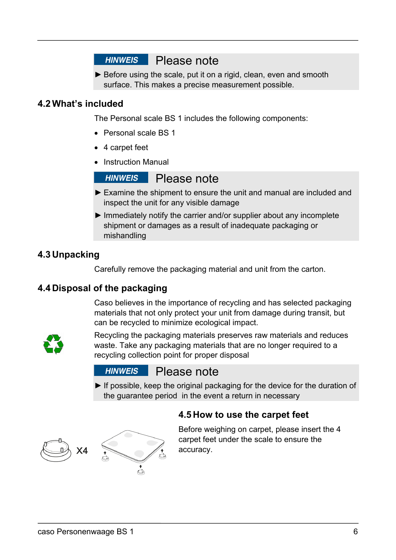# **HINWEIS** Please note

► Before using the scale, put it on a rigid, clean, even and smooth surface. This makes a precise measurement possible.

#### **4.2 What's included**

The Personal scale BS 1 includes the following components:

- Personal scale BS 1
- 4 carpet feet
- Instruction Manual

#### **HINWEIS** Please note

- ► Examine the shipment to ensure the unit and manual are included and inspect the unit for any visible damage
- ► Immediately notify the carrier and/or supplier about any incomplete shipment or damages as a result of inadequate packaging or mishandling

#### **4.3 Unpacking**

Carefully remove the packaging material and unit from the carton.

#### **4.4 Disposal of the packaging**

Caso believes in the importance of recycling and has selected packaging materials that not only protect your unit from damage during transit, but can be recycled to minimize ecological impact.



Recycling the packaging materials preserves raw materials and reduces waste. Take any packaging materials that are no longer required to a recycling collection point for proper disposal

#### **HINWEIS** Please note

▶ If possible, keep the original packaging for the device for the duration of the guarantee period in the event a return in necessary





Before weighing on carpet, please insert the 4 carpet feet under the scale to ensure the accuracy.

caso Personenwaage BS 1 6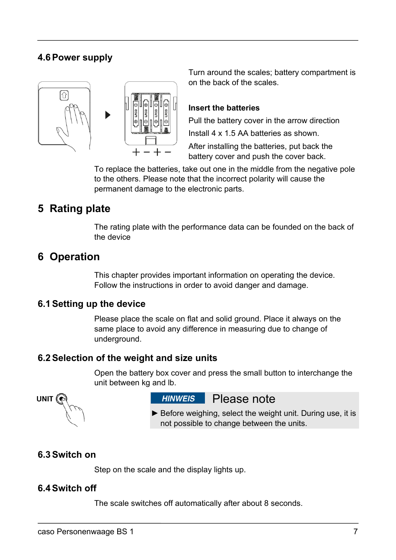### **4.6 Power supply**



Turn around the scales; battery compartment is on the back of the scales.

#### **Insert the batteries**

Pull the battery cover in the arrow direction Install 4 x 1.5 AA batteries as shown.

After installing the batteries, put back the battery cover and push the cover back.

To replace the batteries, take out one in the middle from the negative pole to the others. Please note that the incorrect polarity will cause the permanent damage to the electronic parts.

# **5 Rating plate**

The rating plate with the performance data can be founded on the back of the device

### **6 Operation**

This chapter provides important information on operating the device. Follow the instructions in order to avoid danger and damage.

#### **6.1 Setting up the device**

Please place the scale on flat and solid ground. Place it always on the same place to avoid any difference in measuring due to change of underground.

#### **6.2 Selection of the weight and size units**

Open the battery box cover and press the small button to interchange the unit between kg and lb.



**HINWEIS** Please note

▶ Before weighing, select the weight unit. During use, it is not possible to change between the units.

#### **6.3 Switch on**

Step on the scale and the display lights up.

#### **6.4 Switch off**

The scale switches off automatically after about 8 seconds.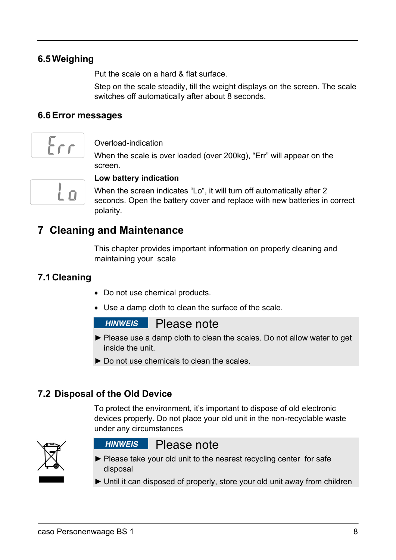#### **6.5 Weighing**

Put the scale on a hard & flat surface.

Step on the scale steadily, till the weight displays on the screen. The scale switches off automatically after about 8 seconds.

#### **6.6 Error messages**



#### Overload-indication

When the scale is over loaded (over 200kg), "Err" will appear on the screen.



#### **Low battery indication**

When the screen indicates "Lo", it will turn off automatically after 2 seconds. Open the battery cover and replace with new batteries in correct polarity.

# **7 Cleaning and Maintenance**

This chapter provides important information on properly cleaning and maintaining your scale

#### **7.1 Cleaning**

- Do not use chemical products.
- Use a damp cloth to clean the surface of the scale.

#### **HINWEIS** Please note

- ► Please use a damp cloth to clean the scales. Do not allow water to get inside the unit.
- ► Do not use chemicals to clean the scales.

#### **7.2 Disposal of the Old Device**

To protect the environment, it's important to dispose of old electronic devices properly. Do not place your old unit in the non-recyclable waste under any circumstances



## **HINWEIS** Please note

- ► Please take your old unit to the nearest recycling center for safe disposal
- ► Until it can disposed of properly, store your old unit away from children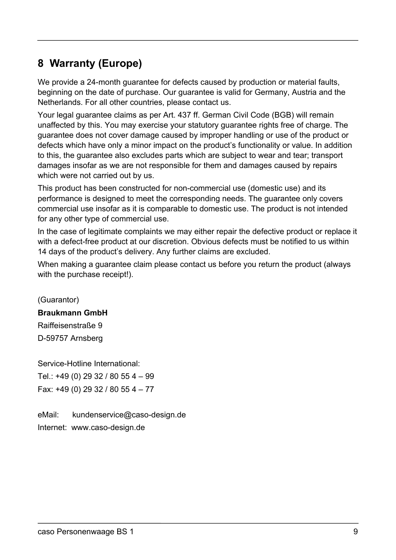# **8 Warranty (Europe)**

We provide a 24-month guarantee for defects caused by production or material faults, beginning on the date of purchase. Our guarantee is valid for Germany, Austria and the Netherlands. For all other countries, please contact us.

Your legal guarantee claims as per Art. 437 ff. German Civil Code (BGB) will remain unaffected by this. You may exercise your statutory guarantee rights free of charge. The guarantee does not cover damage caused by improper handling or use of the product or defects which have only a minor impact on the product's functionality or value. In addition to this, the guarantee also excludes parts which are subject to wear and tear; transport damages insofar as we are not responsible for them and damages caused by repairs which were not carried out by us.

This product has been constructed for non-commercial use (domestic use) and its performance is designed to meet the corresponding needs. The guarantee only covers commercial use insofar as it is comparable to domestic use. The product is not intended for any other type of commercial use.

In the case of legitimate complaints we may either repair the defective product or replace it with a defect-free product at our discretion. Obvious defects must be notified to us within 14 days of the product's delivery. Any further claims are excluded.

When making a guarantee claim please contact us before you return the product (always with the purchase receipt!).

(Guarantor) **Braukmann GmbH**  Raiffeisenstraße 9 D-59757 Arnsberg

Service-Hotline International: Tel.: +49 (0) 29 32 / 80 55 4 – 99 Fax: +49 (0) 29 32 / 80 55 4 – 77

eMail: kundenservice@caso-design.de Internet: www.caso-design.de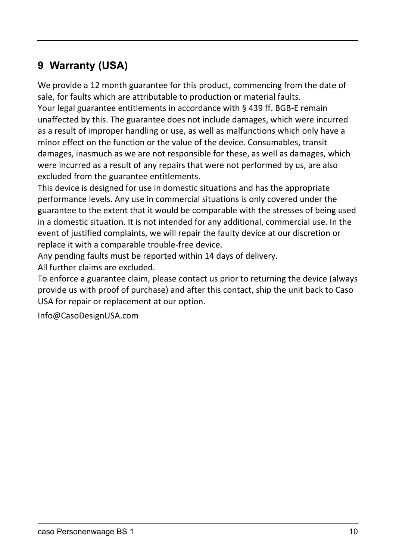# **9 Warranty (USA)**

We provide a 12 month guarantee for this product, commencing from the date of sale, for faults which are attributable to production or material faults. Your legal guarantee entitlements in accordance with § 439 ff. BGB‐E remain unaffected by this. The guarantee does not include damages, which were incurred as a result of improper handling or use, as well as malfunctions which only have a minor effect on the function or the value of the device. Consumables, transit damages, inasmuch as we are not responsible for these, as well as damages, which were incurred as a result of any repairs that were not performed by us, are also excluded from the guarantee entitlements.

This device is designed for use in domestic situations and has the appropriate performance levels. Any use in commercial situations is only covered under the guarantee to the extent that it would be comparable with the stresses of being used in a domestic situation. It is not intended for any additional, commercial use. In the event of justified complaints, we will repair the faulty device at our discretion or replace it with a comparable trouble‐free device.

Any pending faults must be reported within 14 days of delivery.

All further claims are excluded.

To enforce a guarantee claim, please contact us prior to returning the device (always provide us with proof of purchase) and after this contact, ship the unit back to Caso USA for repair or replacement at our option.

Info@CasoDesignUSA.com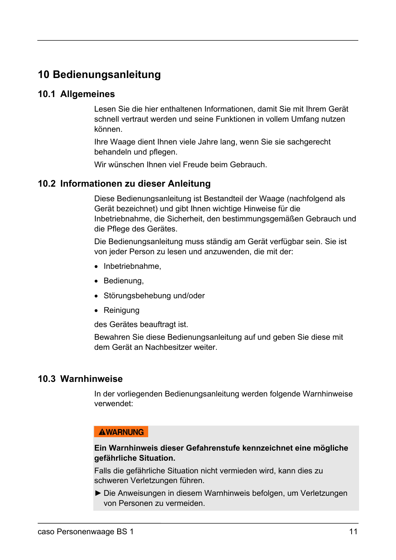# **10 Bedienungsanleitung**

#### **10.1 Allgemeines**

Lesen Sie die hier enthaltenen Informationen, damit Sie mit Ihrem Gerät schnell vertraut werden und seine Funktionen in vollem Umfang nutzen können.

Ihre Waage dient Ihnen viele Jahre lang, wenn Sie sie sachgerecht behandeln und pflegen.

Wir wünschen Ihnen viel Freude beim Gebrauch.

#### **10.2 Informationen zu dieser Anleitung**

Diese Bedienungsanleitung ist Bestandteil der Waage (nachfolgend als Gerät bezeichnet) und gibt Ihnen wichtige Hinweise für die Inbetriebnahme, die Sicherheit, den bestimmungsgemäßen Gebrauch und die Pflege des Gerätes.

Die Bedienungsanleitung muss ständig am Gerät verfügbar sein. Sie ist von jeder Person zu lesen und anzuwenden, die mit der:

- $\bullet$  Inbetriebnahme.
- Bedienung,
- Störungsbehebung und/oder
- Reinigung

des Gerätes beauftragt ist.

Bewahren Sie diese Bedienungsanleitung auf und geben Sie diese mit dem Gerät an Nachbesitzer weiter.

#### **10.3 Warnhinweise**

In der vorliegenden Bedienungsanleitung werden folgende Warnhinweise verwendet:

#### **AWARNUNG**

 $\overline{\phantom{a}}$ 

#### **Ein Warnhinweis dieser Gefahrenstufe kennzeichnet eine mögliche gefährliche Situation.**

Falls die gefährliche Situation nicht vermieden wird, kann dies zu schweren Verletzungen führen.

► Die Anweisungen in diesem Warnhinweis befolgen, um Verletzungen von Personen zu vermeiden.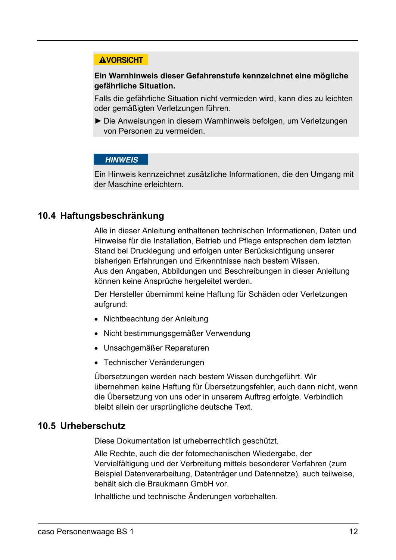#### **AVORSICHT**

#### **Ein Warnhinweis dieser Gefahrenstufe kennzeichnet eine mögliche gefährliche Situation.**

Falls die gefährliche Situation nicht vermieden wird, kann dies zu leichten oder gemäßigten Verletzungen führen.

► Die Anweisungen in diesem Warnhinweis befolgen, um Verletzungen von Personen zu vermeiden.

#### **HINWEIS**

 $\mathbf{r}$ 

Ein Hinweis kennzeichnet zusätzliche Informationen, die den Umgang mit der Maschine erleichtern.

#### **10.4 Haftungsbeschränkung**

Alle in dieser Anleitung enthaltenen technischen Informationen, Daten und Hinweise für die Installation, Betrieb und Pflege entsprechen dem letzten Stand bei Drucklegung und erfolgen unter Berücksichtigung unserer bisherigen Erfahrungen und Erkenntnisse nach bestem Wissen. Aus den Angaben, Abbildungen und Beschreibungen in dieser Anleitung können keine Ansprüche hergeleitet werden.

Der Hersteller übernimmt keine Haftung für Schäden oder Verletzungen aufgrund:

- Nichtbeachtung der Anleitung
- Nicht bestimmungsgemäßer Verwendung
- Unsachgemäßer Reparaturen
- Technischer Veränderungen

Übersetzungen werden nach bestem Wissen durchgeführt. Wir übernehmen keine Haftung für Übersetzungsfehler, auch dann nicht, wenn die Übersetzung von uns oder in unserem Auftrag erfolgte. Verbindlich bleibt allein der ursprüngliche deutsche Text.

#### **10.5 Urheberschutz**

Diese Dokumentation ist urheberrechtlich geschützt.

Alle Rechte, auch die der fotomechanischen Wiedergabe, der Vervielfältigung und der Verbreitung mittels besonderer Verfahren (zum Beispiel Datenverarbeitung, Datenträger und Datennetze), auch teilweise, behält sich die Braukmann GmbH vor.

Inhaltliche und technische Änderungen vorbehalten.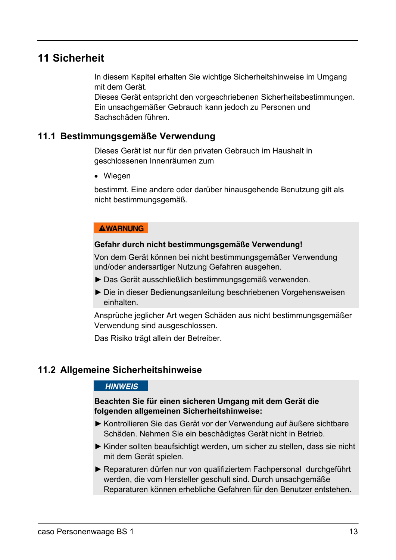# **11 Sicherheit**

In diesem Kapitel erhalten Sie wichtige Sicherheitshinweise im Umgang mit dem Gerät.

Dieses Gerät entspricht den vorgeschriebenen Sicherheitsbestimmungen. Ein unsachgemäßer Gebrauch kann jedoch zu Personen und Sachschäden führen.

#### **11.1 Bestimmungsgemäße Verwendung**

Dieses Gerät ist nur für den privaten Gebrauch im Haushalt in geschlossenen Innenräumen zum

Wiegen

bestimmt. Eine andere oder darüber hinausgehende Benutzung gilt als nicht bestimmungsgemäß.

#### **AWARNUNG**

 $\overline{\phantom{a}}$ 

#### **Gefahr durch nicht bestimmungsgemäße Verwendung!**

Von dem Gerät können bei nicht bestimmungsgemäßer Verwendung und/oder andersartiger Nutzung Gefahren ausgehen.

- ► Das Gerät ausschließlich bestimmungsgemäß verwenden.
- ► Die in dieser Bedienungsanleitung beschriebenen Vorgehensweisen einhalten.

Ansprüche jeglicher Art wegen Schäden aus nicht bestimmungsgemäßer Verwendung sind ausgeschlossen.

Das Risiko trägt allein der Betreiber.

 $\mathbf{r}$ 

#### **11.2 Allgemeine Sicherheitshinweise**

#### **HINWEIS**

#### **Beachten Sie für einen sicheren Umgang mit dem Gerät die folgenden allgemeinen Sicherheitshinweise:**

- ► Kontrollieren Sie das Gerät vor der Verwendung auf äußere sichtbare Schäden. Nehmen Sie ein beschädigtes Gerät nicht in Betrieb.
- ► Kinder sollten beaufsichtigt werden, um sicher zu stellen, dass sie nicht mit dem Gerät spielen.
- ► Reparaturen dürfen nur von qualifiziertem Fachpersonal durchgeführt werden, die vom Hersteller geschult sind. Durch unsachgemäße Reparaturen können erhebliche Gefahren für den Benutzer entstehen.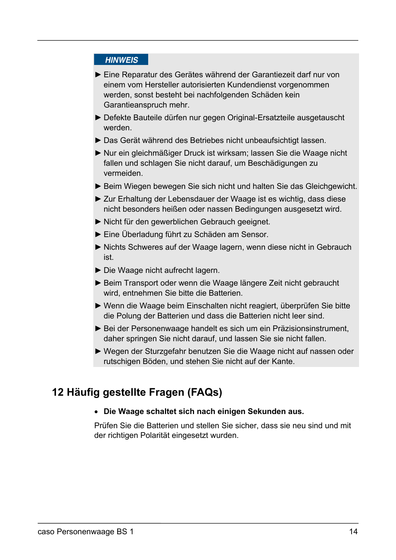#### **HINWEIS**

 $\mathbf{r}$ 

- ► Eine Reparatur des Gerätes während der Garantiezeit darf nur von einem vom Hersteller autorisierten Kundendienst vorgenommen werden, sonst besteht bei nachfolgenden Schäden kein Garantieanspruch mehr.
- ► Defekte Bauteile dürfen nur gegen Original-Ersatzteile ausgetauscht werden.
- ► Das Gerät während des Betriebes nicht unbeaufsichtigt lassen.
- ► Nur ein gleichmäßiger Druck ist wirksam; lassen Sie die Waage nicht fallen und schlagen Sie nicht darauf, um Beschädigungen zu vermeiden.
- ► Beim Wiegen bewegen Sie sich nicht und halten Sie das Gleichgewicht.
- ► Zur Erhaltung der Lebensdauer der Waage ist es wichtig, dass diese nicht besonders heißen oder nassen Bedingungen ausgesetzt wird.
- ► Nicht für den gewerblichen Gebrauch geeignet.
- ► Eine Überladung führt zu Schäden am Sensor.
- ► Nichts Schweres auf der Waage lagern, wenn diese nicht in Gebrauch ist.
- ► Die Waage nicht aufrecht lagern.
- ► Beim Transport oder wenn die Waage längere Zeit nicht gebraucht wird, entnehmen Sie bitte die Batterien.
- ► Wenn die Waage beim Einschalten nicht reagiert, überprüfen Sie bitte die Polung der Batterien und dass die Batterien nicht leer sind.
- ► Bei der Personenwaage handelt es sich um ein Präzisionsinstrument, daher springen Sie nicht darauf, und lassen Sie sie nicht fallen.
- ► Wegen der Sturzgefahr benutzen Sie die Waage nicht auf nassen oder rutschigen Böden, und stehen Sie nicht auf der Kante.

# **12Häufig gestellte Fragen (FAQs)**

#### **Die Waage schaltet sich nach einigen Sekunden aus.**

Prüfen Sie die Batterien und stellen Sie sicher, dass sie neu sind und mit der richtigen Polarität eingesetzt wurden.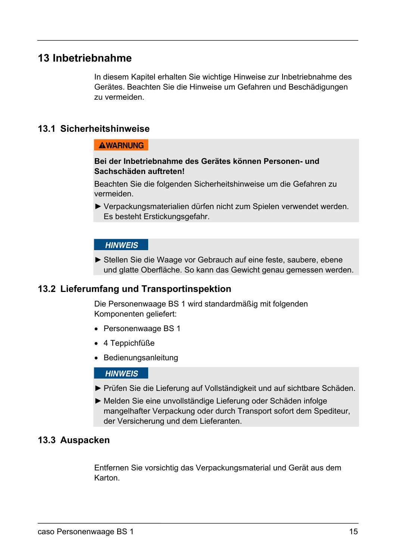# **13 Inbetriebnahme**

In diesem Kapitel erhalten Sie wichtige Hinweise zur Inbetriebnahme des Gerätes. Beachten Sie die Hinweise um Gefahren und Beschädigungen zu vermeiden.

#### **13.1 Sicherheitshinweise**

#### **AWARNUNG**

 $\mathbf{r}$ 

 $\mathbf{r}$ 

#### **Bei der Inbetriebnahme des Gerätes können Personen- und Sachschäden auftreten!**

Beachten Sie die folgenden Sicherheitshinweise um die Gefahren zu vermeiden.

► Verpackungsmaterialien dürfen nicht zum Spielen verwendet werden. Es besteht Erstickungsgefahr.

#### **HINWEIS**

► Stellen Sie die Waage vor Gebrauch auf eine feste, saubere, ebene und glatte Oberfläche. So kann das Gewicht genau gemessen werden.

#### **13.2 Lieferumfang und Transportinspektion**

Die Personenwaage BS 1 wird standardmäßig mit folgenden Komponenten geliefert:

- Personenwaage BS 1
- 4 Teppichfüße
- Bedienungsanleitung

 $\mathbf{r}$ 

#### **HINWEIS**

- ► Prüfen Sie die Lieferung auf Vollständigkeit und auf sichtbare Schäden.
- ► Melden Sie eine unvollständige Lieferung oder Schäden infolge mangelhafter Verpackung oder durch Transport sofort dem Spediteur, der Versicherung und dem Lieferanten.

#### **13.3 Auspacken**

Entfernen Sie vorsichtig das Verpackungsmaterial und Gerät aus dem Karton.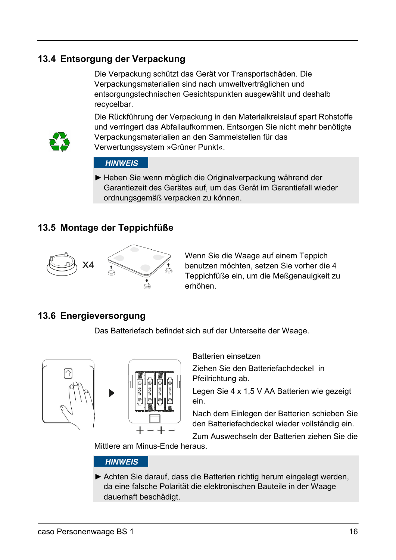## **13.4 Entsorgung der Verpackung**

Die Verpackung schützt das Gerät vor Transportschäden. Die Verpackungsmaterialien sind nach umweltverträglichen und entsorgungstechnischen Gesichtspunkten ausgewählt und deshalb recycelbar.



Die Rückführung der Verpackung in den Materialkreislauf spart Rohstoffe und verringert das Abfallaufkommen. Entsorgen Sie nicht mehr benötigte Verpackungsmaterialien an den Sammelstellen für das Verwertungssystem »Grüner Punkt«.

#### **HINWEIS**

 $\mathbf{r}$ 

► Heben Sie wenn möglich die Originalverpackung während der Garantiezeit des Gerätes auf, um das Gerät im Garantiefall wieder ordnungsgemäß verpacken zu können.

### **13.5 Montage der Teppichfüße**



Wenn Sie die Waage auf einem Teppich benutzen möchten, setzen Sie vorher die 4 Teppichfüße ein, um die Meßgenauigkeit zu erhöhen.

#### **13.6 Energieversorgung**

Das Batteriefach befindet sich auf der Unterseite der Waage.





Batterien einsetzen

Ziehen Sie den Batteriefachdeckel in Pfeilrichtung ab.

Legen Sie 4 x 1,5 V AA Batterien wie gezeigt ein.

Nach dem Einlegen der Batterien schieben Sie den Batteriefachdeckel wieder vollständig ein.

Zum Auswechseln der Batterien ziehen Sie die

Mittlere am Minus-Ende heraus.

 $\mathbf{r}$ 

#### **HINWEIS**

► Achten Sie darauf, dass die Batterien richtig herum eingelegt werden, da eine falsche Polarität die elektronischen Bauteile in der Waage dauerhaft beschädigt.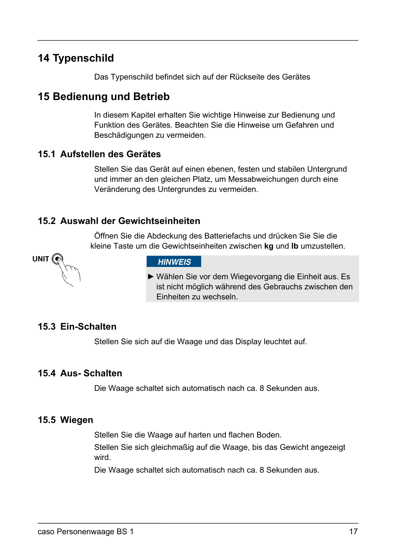# **14 Typenschild**

Das Typenschild befindet sich auf der Rückseite des Gerätes

# **15 Bedienung und Betrieb**

In diesem Kapitel erhalten Sie wichtige Hinweise zur Bedienung und Funktion des Gerätes. Beachten Sie die Hinweise um Gefahren und Beschädigungen zu vermeiden.

#### **15.1 Aufstellen des Gerätes**

Stellen Sie das Gerät auf einen ebenen, festen und stabilen Untergrund und immer an den gleichen Platz, um Messabweichungen durch eine Veränderung des Untergrundes zu vermeiden.

#### **15.2 Auswahl der Gewichtseinheiten**

Öffnen Sie die Abdeckung des Batteriefachs und drücken Sie Sie die kleine Taste um die Gewichtseinheiten zwischen **kg** und **lb** umzustellen.

**UNIT** 

#### **HINWEIS**

► Wählen Sie vor dem Wiegevorgang die Einheit aus. Es ist nicht möglich während des Gebrauchs zwischen den Einheiten zu wechseln.

#### **15.3 Ein-Schalten**

Stellen Sie sich auf die Waage und das Display leuchtet auf.

 $\mathbf{r}$ 

#### **15.4 Aus- Schalten**

Die Waage schaltet sich automatisch nach ca. 8 Sekunden aus.

#### **15.5 Wiegen**

Stellen Sie die Waage auf harten und flachen Boden.

Stellen Sie sich gleichmaßig auf die Waage, bis das Gewicht angezeigt wird.

Die Waage schaltet sich automatisch nach ca. 8 Sekunden aus.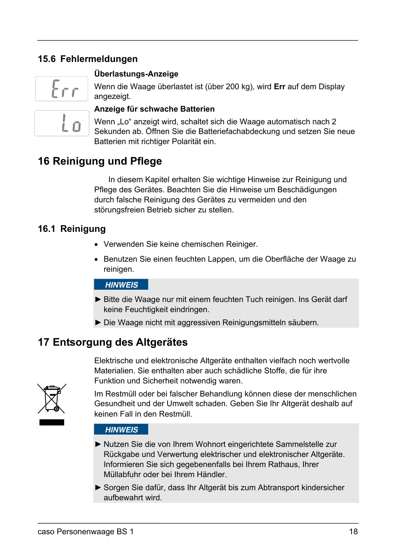# **15.6 Fehlermeldungen**



#### **Überlastungs-Anzeige**

Wenn die Waage überlastet ist (über 200 kg), wird **Err** auf dem Display angezeigt.

#### **Anzeige für schwache Batterien**

Wenn "Lo" anzeigt wird, schaltet sich die Waage automatisch nach 2 Sekunden ab. Öffnen Sie die Batteriefachabdeckung und setzen Sie neue Batterien mit richtiger Polarität ein.

# **16 Reinigung und Pflege**

 In diesem Kapitel erhalten Sie wichtige Hinweise zur Reinigung und Pflege des Gerätes. Beachten Sie die Hinweise um Beschädigungen durch falsche Reinigung des Gerätes zu vermeiden und den störungsfreien Betrieb sicher zu stellen.

#### **16.1 Reinigung**

- Verwenden Sie keine chemischen Reiniger.
- Benutzen Sie einen feuchten Lappen, um die Oberfläche der Waage zu reinigen.

#### **HINWEIS**

 $\mathbf{r}$ 

- ► Bitte die Waage nur mit einem feuchten Tuch reinigen. Ins Gerät darf keine Feuchtigkeit eindringen.
- ► Die Waage nicht mit aggressiven Reinigungsmitteln säubern.

# **17 Entsorgung des Altgerätes**

Elektrische und elektronische Altgeräte enthalten vielfach noch wertvolle Materialien. Sie enthalten aber auch schädliche Stoffe, die für ihre Funktion und Sicherheit notwendig waren.



Im Restmüll oder bei falscher Behandlung können diese der menschlichen Gesundheit und der Umwelt schaden. Geben Sie Ihr Altgerät deshalb auf keinen Fall in den Restmüll.

#### **HINWEIS**

 $\mathbf{r}$ 

- ► Nutzen Sie die von Ihrem Wohnort eingerichtete Sammelstelle zur Rückgabe und Verwertung elektrischer und elektronischer Altgeräte. Informieren Sie sich gegebenenfalls bei Ihrem Rathaus, Ihrer Müllabfuhr oder bei Ihrem Händler.
- ► Sorgen Sie dafür, dass Ihr Altgerät bis zum Abtransport kindersicher aufbewahrt wird.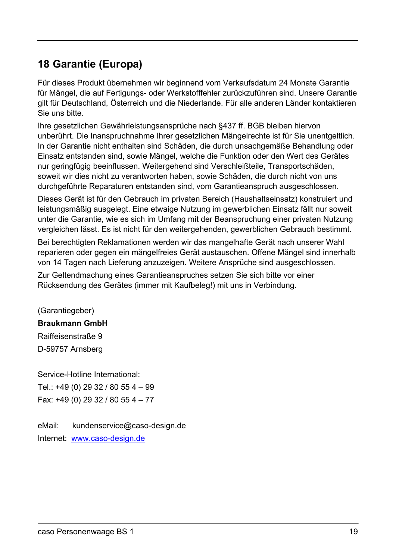# **18 Garantie (Europa)**

Für dieses Produkt übernehmen wir beginnend vom Verkaufsdatum 24 Monate Garantie für Mängel, die auf Fertigungs- oder Werkstofffehler zurückzuführen sind. Unsere Garantie gilt für Deutschland, Österreich und die Niederlande. Für alle anderen Länder kontaktieren Sie uns bitte.

Ihre gesetzlichen Gewährleistungsansprüche nach §437 ff. BGB bleiben hiervon unberührt. Die Inanspruchnahme Ihrer gesetzlichen Mängelrechte ist für Sie unentgeltlich. In der Garantie nicht enthalten sind Schäden, die durch unsachgemäße Behandlung oder Einsatz entstanden sind, sowie Mängel, welche die Funktion oder den Wert des Gerätes nur geringfügig beeinflussen. Weitergehend sind Verschleißteile, Transportschäden, soweit wir dies nicht zu verantworten haben, sowie Schäden, die durch nicht von uns durchgeführte Reparaturen entstanden sind, vom Garantieanspruch ausgeschlossen.

Dieses Gerät ist für den Gebrauch im privaten Bereich (Haushaltseinsatz) konstruiert und leistungsmäßig ausgelegt. Eine etwaige Nutzung im gewerblichen Einsatz fällt nur soweit unter die Garantie, wie es sich im Umfang mit der Beanspruchung einer privaten Nutzung vergleichen lässt. Es ist nicht für den weitergehenden, gewerblichen Gebrauch bestimmt.

Bei berechtigten Reklamationen werden wir das mangelhafte Gerät nach unserer Wahl reparieren oder gegen ein mängelfreies Gerät austauschen. Offene Mängel sind innerhalb von 14 Tagen nach Lieferung anzuzeigen. Weitere Ansprüche sind ausgeschlossen.

Zur Geltendmachung eines Garantieanspruches setzen Sie sich bitte vor einer Rücksendung des Gerätes (immer mit Kaufbeleg!) mit uns in Verbindung.

(Garantiegeber) **Braukmann GmbH**  Raiffeisenstraße 9 D-59757 Arnsberg

Service-Hotline International: Tel.: +49 (0) 29 32 / 80 55 4 – 99 Fax: +49 (0) 29 32 / 80 55 4 – 77

eMail: kundenservice@caso-design.de Internet: www.caso-design.de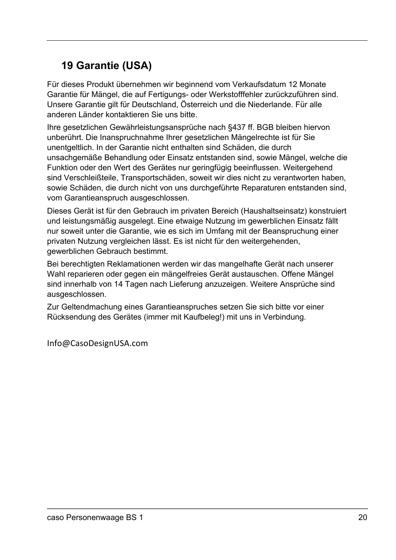# **19Garantie (USA)**

Für dieses Produkt übernehmen wir beginnend vom Verkaufsdatum 12 Monate Garantie für Mängel, die auf Fertigungs- oder Werkstofffehler zurückzuführen sind. Unsere Garantie gilt für Deutschland, Österreich und die Niederlande. Für alle anderen Länder kontaktieren Sie uns bitte.

Ihre gesetzlichen Gewährleistungsansprüche nach §437 ff. BGB bleiben hiervon unberührt. Die Inanspruchnahme Ihrer gesetzlichen Mängelrechte ist für Sie unentgeltlich. In der Garantie nicht enthalten sind Schäden, die durch unsachgemäße Behandlung oder Einsatz entstanden sind, sowie Mängel, welche die Funktion oder den Wert des Gerätes nur geringfügig beeinflussen. Weitergehend sind Verschleißteile, Transportschäden, soweit wir dies nicht zu verantworten haben, sowie Schäden, die durch nicht von uns durchgeführte Reparaturen entstanden sind, vom Garantieanspruch ausgeschlossen.

Dieses Gerät ist für den Gebrauch im privaten Bereich (Haushaltseinsatz) konstruiert und leistungsmäßig ausgelegt. Eine etwaige Nutzung im gewerblichen Einsatz fällt nur soweit unter die Garantie, wie es sich im Umfang mit der Beanspruchung einer privaten Nutzung vergleichen lässt. Es ist nicht für den weitergehenden, gewerblichen Gebrauch bestimmt.

Bei berechtigten Reklamationen werden wir das mangelhafte Gerät nach unserer Wahl reparieren oder gegen ein mängelfreies Gerät austauschen. Offene Mängel sind innerhalb von 14 Tagen nach Lieferung anzuzeigen. Weitere Ansprüche sind ausgeschlossen.

Zur Geltendmachung eines Garantieanspruches setzen Sie sich bitte vor einer Rücksendung des Gerätes (immer mit Kaufbeleg!) mit uns in Verbindung.

Info@CasoDesignUSA.com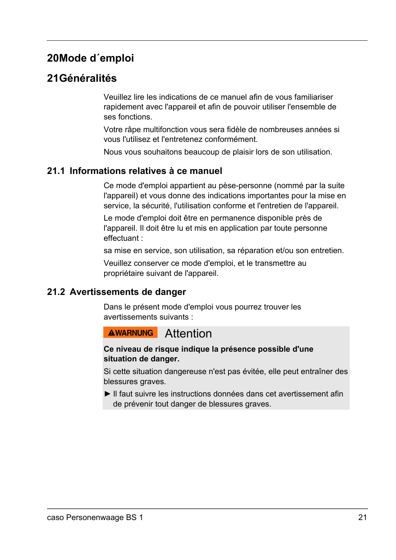# **20 Mode d´emploi**

# **21 Généralités**

Veuillez lire les indications de ce manuel afin de vous familiariser rapidement avec l'appareil et afin de pouvoir utiliser l'ensemble de ses fonctions.

Votre râpe multifonction vous sera fidèle de nombreuses années si vous l'utilisez et l'entretenez conformément.

Nous vous souhaitons beaucoup de plaisir lors de son utilisation.

#### **21.1 Informations relatives à ce manuel**

Ce mode d'emploi appartient au pèse-personne (nommé par la suite l'appareil) et vous donne des indications importantes pour la mise en service, la sécurité, l'utilisation conforme et l'entretien de l'appareil.

Le mode d'emploi doit être en permanence disponible près de l'appareil. Il doit être lu et mis en application par toute personne effectuant :

sa mise en service, son utilisation, sa réparation et/ou son entretien.

Veuillez conserver ce mode d'emploi, et le transmettre au propriétaire suivant de l'appareil.

#### **21.2 Avertissements de danger**

Dans le présent mode d'emploi vous pourrez trouver les avertissements suivants :

#### **AWARNUNG** Attention

#### **Ce niveau de risque indique la présence possible d'une situation de danger.**

Si cette situation dangereuse n'est pas évitée, elle peut entraîner des blessures graves.

► Il faut suivre les instructions données dans cet avertissement afin de prévenir tout danger de blessures graves.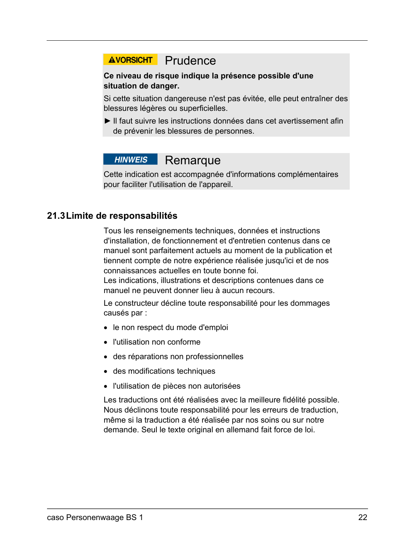# **AVORSICHT** Prudence

#### **Ce niveau de risque indique la présence possible d'une situation de danger.**

Si cette situation dangereuse n'est pas évitée, elle peut entraîner des blessures légères ou superficielles.

► Il faut suivre les instructions données dans cet avertissement afin de prévenir les blessures de personnes.

#### **HINWEIS Remarque**

Cette indication est accompagnée d'informations complémentaires pour faciliter l'utilisation de l'appareil.

#### **21.3 Limite de responsabilités**

Tous les renseignements techniques, données et instructions d'installation, de fonctionnement et d'entretien contenus dans ce manuel sont parfaitement actuels au moment de la publication et tiennent compte de notre expérience réalisée jusqu'ici et de nos connaissances actuelles en toute bonne foi.

Les indications, illustrations et descriptions contenues dans ce manuel ne peuvent donner lieu à aucun recours.

Le constructeur décline toute responsabilité pour les dommages causés par :

- le non respect du mode d'emploi
- l'utilisation non conforme
- des réparations non professionnelles
- des modifications techniques
- l'utilisation de pièces non autorisées

Les traductions ont été réalisées avec la meilleure fidélité possible. Nous déclinons toute responsabilité pour les erreurs de traduction, même si la traduction a été réalisée par nos soins ou sur notre demande. Seul le texte original en allemand fait force de loi.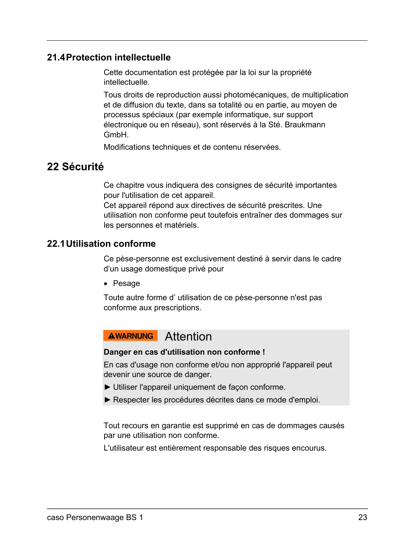#### **21.4 Protection intellectuelle**

Cette documentation est protégée par la loi sur la propriété intellectuelle.

Tous droits de reproduction aussi photomécaniques, de multiplication et de diffusion du texte, dans sa totalité ou en partie, au moyen de processus spéciaux (par exemple informatique, sur support électronique ou en réseau), sont réservés à la Sté. Braukmann GmbH.

Modifications techniques et de contenu réservées.

# **22Sécurité**

Ce chapitre vous indiquera des consignes de sécurité importantes pour l'utilisation de cet appareil.

Cet appareil répond aux directives de sécurité prescrites. Une utilisation non conforme peut toutefois entraîner des dommages sur les personnes et matériels.

#### **22.1 Utilisation conforme**

Ce pèse-personne est exclusivement destiné à servir dans le cadre d'un usage domestique privé pour

• Pesage

Toute autre forme d' utilisation de ce pèse-personne n'est pas conforme aux prescriptions.

# **AWARNUNG** Attention

#### **Danger en cas d'utilisation non conforme !**

En cas d'usage non conforme et/ou non approprié l'appareil peut devenir une source de danger.

- ► Utiliser l'appareil uniquement de façon conforme.
- ► Respecter les procédures décrites dans ce mode d'emploi.

Tout recours en garantie est supprimé en cas de dommages causés par une utilisation non conforme.

L'utilisateur est entièrement responsable des risques encourus.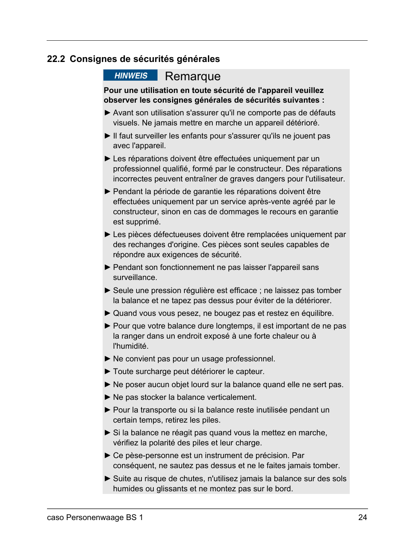#### **22.2 Consignes de sécurités générales**

#### **HINWEIS** Remarque

#### **Pour une utilisation en toute sécurité de l'appareil veuillez observer les consignes générales de sécurités suivantes :**

- ► Avant son utilisation s'assurer qu'il ne comporte pas de défauts visuels. Ne jamais mettre en marche un appareil détérioré.
- ► Il faut surveiller les enfants pour s'assurer qu'ils ne jouent pas avec l'appareil.
- ► Les réparations doivent être effectuées uniquement par un professionnel qualifié, formé par le constructeur. Des réparations incorrectes peuvent entraîner de graves dangers pour l'utilisateur.
- ► Pendant la période de garantie les réparations doivent être effectuées uniquement par un service après-vente agréé par le constructeur, sinon en cas de dommages le recours en garantie est supprimé.
- ► Les pièces défectueuses doivent être remplacées uniquement par des rechanges d'origine. Ces pièces sont seules capables de répondre aux exigences de sécurité.
- ► Pendant son fonctionnement ne pas laisser l'appareil sans surveillance.
- ► Seule une pression régulière est efficace ; ne laissez pas tomber la balance et ne tapez pas dessus pour éviter de la détériorer.
- ► Quand vous vous pesez, ne bougez pas et restez en équilibre.
- ► Pour que votre balance dure longtemps, il est important de ne pas la ranger dans un endroit exposé à une forte chaleur ou à l'humidité.
- ► Ne convient pas pour un usage professionnel.
- ► Toute surcharge peut détériorer le capteur.
- ► Ne poser aucun objet lourd sur la balance quand elle ne sert pas.
- ► Ne pas stocker la balance verticalement.
- ► Pour la transporte ou si la balance reste inutilisée pendant un certain temps, retirez les piles.
- ► Si la balance ne réagit pas quand vous la mettez en marche, vérifiez la polarité des piles et leur charge.
- ► Ce pèse-personne est un instrument de précision. Par conséquent, ne sautez pas dessus et ne le faites jamais tomber.
- ► Suite au risque de chutes, n'utilisez jamais la balance sur des sols humides ou glissants et ne montez pas sur le bord.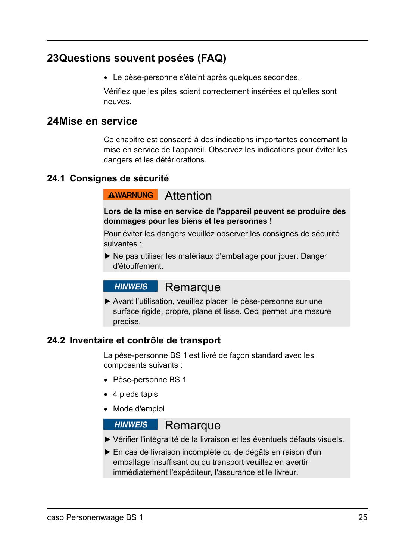# **23 Questions souvent posées (FAQ)**

Le pèse-personne s'éteint après quelques secondes.

Vérifiez que les piles soient correctement insérées et qu'elles sont neuves.

#### **24 Mise en service**

Ce chapitre est consacré à des indications importantes concernant la mise en service de l'appareil. Observez les indications pour éviter les dangers et les détériorations.

#### **24.1 Consignes de sécurité**

#### **AWARNUNG** Attention

**Lors de la mise en service de l'appareil peuvent se produire des dommages pour les biens et les personnes !** 

Pour éviter les dangers veuillez observer les consignes de sécurité suivantes :

► Ne pas utiliser les matériaux d'emballage pour jouer. Danger d'étouffement.

#### **Remarque HINWEIS**

► Avant l'utilisation, veuillez placer le pèse-personne sur une surface rigide, propre, plane et lisse. Ceci permet une mesure precise.

#### **24.2 Inventaire et contrôle de transport**

La pèse-personne BS 1 est livré de façon standard avec les composants suivants :

- Pèse-personne BS 1
- 4 pieds tapis
- Mode d'emploi

#### **HINWEIS**

## Remarque ► Vérifier l'intégralité de la livraison et les éventuels défauts visuels.

- ► En cas de livraison incomplète ou de dégâts en raison d'un
- emballage insuffisant ou du transport veuillez en avertir immédiatement l'expéditeur, l'assurance et le livreur.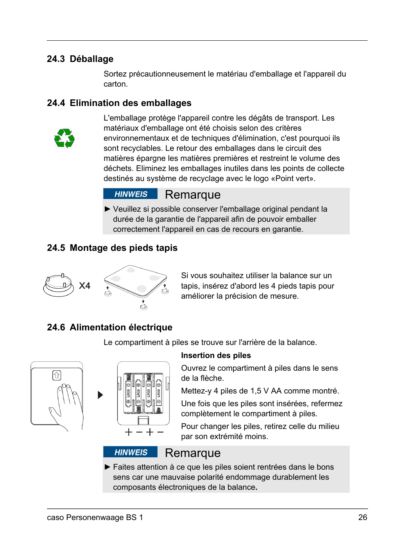### **24.3 Déballage**

Sortez précautionneusement le matériau d'emballage et l'appareil du carton.

#### **24.4 Elimination des emballages**



L'emballage protège l'appareil contre les dégâts de transport. Les matériaux d'emballage ont été choisis selon des critères environnementaux et de techniques d'élimination, c'est pourquoi ils sont recyclables. Le retour des emballages dans le circuit des matières épargne les matières premières et restreint le volume des déchets. Eliminez les emballages inutiles dans les points de collecte destinés au système de recyclage avec le logo «Point vert».

#### **HINWEIS** Remarque

► Veuillez si possible conserver l'emballage original pendant la durée de la garantie de l'appareil afin de pouvoir emballer correctement l'appareil en cas de recours en garantie.

### **24.5 Montage des pieds tapis**



Si vous souhaitez utiliser la balance sur un tapis, insérez d'abord les 4 pieds tapis pour améliorer la précision de mesure.

## **24.6 Alimentation électrique**

Le compartiment à piles se trouve sur l'arrière de la balance.





#### **Insertion des piles**

Ouvrez le compartiment à piles dans le sens de la flèche.

Mettez-y 4 piles de 1,5 V AA comme montré.

Une fois que les piles sont insérées, refermez complètement le compartiment à piles.

Pour changer les piles, retirez celle du milieu par son extrémité moins.

#### **HINWEIS**

#### **Remarque**

► Faites attention à ce que les piles soient rentrées dans le bons sens car une mauvaise polarité endommage durablement les composants électroniques de la balance**.**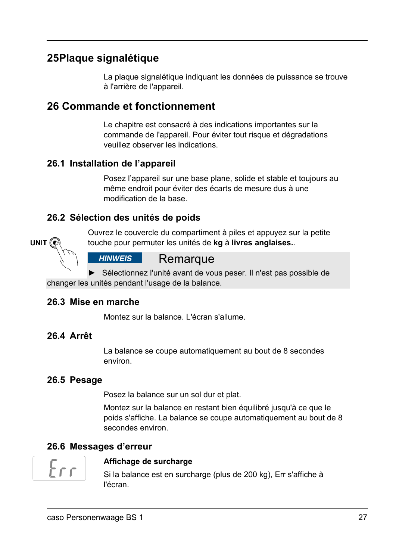# **25 Plaque signalétique**

La plaque signalétique indiquant les données de puissance se trouve à l'arrière de l'appareil.

# **26Commande et fonctionnement**

Le chapitre est consacré à des indications importantes sur la commande de l'appareil. Pour éviter tout risque et dégradations veuillez observer les indications.

#### **26.1 Installation de l'appareil**

Posez l'appareil sur une base plane, solide et stable et toujours au même endroit pour éviter des écarts de mesure dus à une modification de la base.

### **26.2 Sélection des unités de poids**



Ouvrez le couvercle du compartiment à piles et appuyez sur la petite touche pour permuter les unités de **kg** à **livres anglaises.**.

#### **HINWEIS** Remarque

► Sélectionnez l'unité avant de vous peser. Il n'est pas possible de changer les unités pendant l'usage de la balance.

#### **26.3 Mise en marche**

Montez sur la balance. L'écran s'allume.

#### **26.4 Arrêt**

La balance se coupe automatiquement au bout de 8 secondes environ.

#### **26.5 Pesage**

Posez la balance sur un sol dur et plat.

Montez sur la balance en restant bien équilibré jusqu'à ce que le poids s'affiche. La balance se coupe automatiquement au bout de 8 secondes environ.

## **26.6 Messages d'erreur**



#### **Affichage de surcharge**

Si la balance est en surcharge (plus de 200 kg), Err s'affiche à l'écran.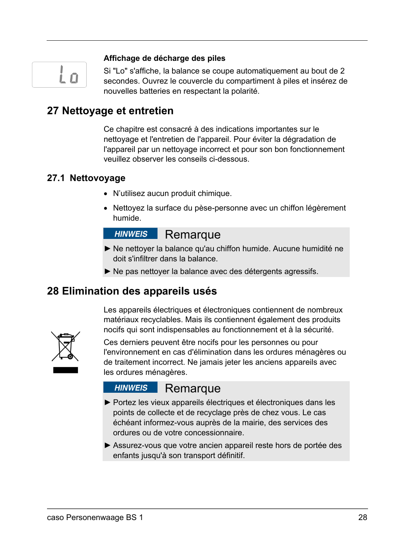# i n

#### **Affichage de décharge des piles**

Si "Lo" s'affiche, la balance se coupe automatiquement au bout de 2 secondes. Ouvrez le couvercle du compartiment à piles et insérez de nouvelles batteries en respectant la polarité.

# **27 Nettoyage et entretien**

Ce chapitre est consacré à des indications importantes sur le nettoyage et l'entretien de l'appareil. Pour éviter la dégradation de l'appareil par un nettoyage incorrect et pour son bon fonctionnement veuillez observer les conseils ci-dessous.

#### **27.1 Nettovoyage**

- N'utilisez aucun produit chimique.
- Nettoyez la surface du pèse-personne avec un chiffon légèrement humide.

#### **HINWEIS** Remarque

- ► Ne nettoyer la balance qu'au chiffon humide. Aucune humidité ne doit s'infiltrer dans la balance.
- ► Ne pas nettoyer la balance avec des détergents agressifs.

# **28Elimination des appareils usés**

Les appareils électriques et électroniques contiennent de nombreux matériaux recyclables. Mais ils contiennent également des produits nocifs qui sont indispensables au fonctionnement et à la sécurité.



Ces derniers peuvent être nocifs pour les personnes ou pour l'environnement en cas d'élimination dans les ordures ménagères ou de traitement incorrect. Ne jamais jeter les anciens appareils avec les ordures ménagères.

#### **HINWEIS** Remarque

- ► Portez les vieux appareils électriques et électroniques dans les points de collecte et de recyclage près de chez vous. Le cas échéant informez-vous auprès de la mairie, des services des ordures ou de votre concessionnaire.
- ► Assurez-vous que votre ancien appareil reste hors de portée des enfants jusqu'à son transport définitif.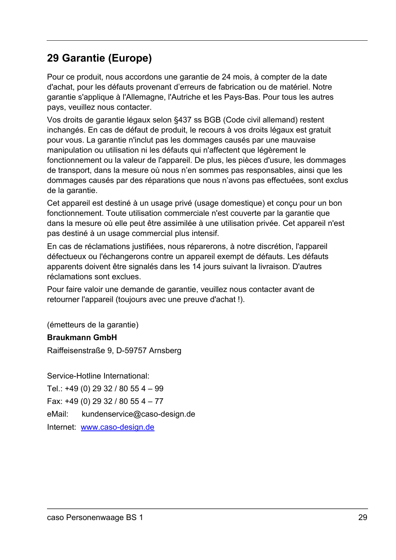# **29Garantie (Europe)**

Pour ce produit, nous accordons une garantie de 24 mois, à compter de la date d'achat, pour les défauts provenant d'erreurs de fabrication ou de matériel. Notre garantie s'applique à l'Allemagne, l'Autriche et les Pays-Bas. Pour tous les autres pays, veuillez nous contacter.

Vos droits de garantie légaux selon §437 ss BGB (Code civil allemand) restent inchangés. En cas de défaut de produit, le recours à vos droits légaux est gratuit pour vous. La garantie n'inclut pas les dommages causés par une mauvaise manipulation ou utilisation ni les défauts qui n'affectent que légèrement le fonctionnement ou la valeur de l'appareil. De plus, les pièces d'usure, les dommages de transport, dans la mesure où nous n'en sommes pas responsables, ainsi que les dommages causés par des réparations que nous n'avons pas effectuées, sont exclus de la garantie.

Cet appareil est destiné à un usage privé (usage domestique) et conçu pour un bon fonctionnement. Toute utilisation commerciale n'est couverte par la garantie que dans la mesure où elle peut être assimilée à une utilisation privée. Cet appareil n'est pas destiné à un usage commercial plus intensif.

En cas de réclamations justifiées, nous réparerons, à notre discrétion, l'appareil défectueux ou l'échangerons contre un appareil exempt de défauts. Les défauts apparents doivent être signalés dans les 14 jours suivant la livraison. D'autres réclamations sont exclues.

Pour faire valoir une demande de garantie, veuillez nous contacter avant de retourner l'appareil (toujours avec une preuve d'achat !).

(émetteurs de la garantie)

#### **Braukmann GmbH**

Raiffeisenstraße 9, D-59757 Arnsberg

Service-Hotline International: Tel.: +49 (0) 29 32 / 80 55 4 – 99 Fax: +49 (0) 29 32 / 80 55 4 – 77 eMail: kundenservice@caso-design.de Internet: www.caso-design.de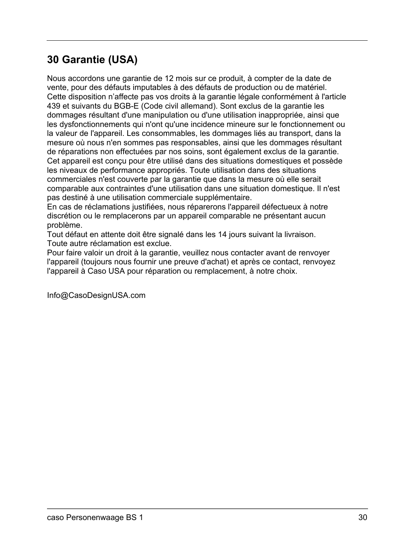# **30Garantie (USA)**

Nous accordons une garantie de 12 mois sur ce produit, à compter de la date de vente, pour des défauts imputables à des défauts de production ou de matériel. Cette disposition n'affecte pas vos droits à la garantie légale conformément à l'article 439 et suivants du BGB-E (Code civil allemand). Sont exclus de la garantie les dommages résultant d'une manipulation ou d'une utilisation inappropriée, ainsi que les dysfonctionnements qui n'ont qu'une incidence mineure sur le fonctionnement ou la valeur de l'appareil. Les consommables, les dommages liés au transport, dans la mesure où nous n'en sommes pas responsables, ainsi que les dommages résultant de réparations non effectuées par nos soins, sont également exclus de la garantie. Cet appareil est conçu pour être utilisé dans des situations domestiques et possède les niveaux de performance appropriés. Toute utilisation dans des situations commerciales n'est couverte par la garantie que dans la mesure où elle serait comparable aux contraintes d'une utilisation dans une situation domestique. Il n'est pas destiné à une utilisation commerciale supplémentaire.

En cas de réclamations justifiées, nous réparerons l'appareil défectueux à notre discrétion ou le remplacerons par un appareil comparable ne présentant aucun problème.

Tout défaut en attente doit être signalé dans les 14 jours suivant la livraison. Toute autre réclamation est exclue.

Pour faire valoir un droit à la garantie, veuillez nous contacter avant de renvoyer l'appareil (toujours nous fournir une preuve d'achat) et après ce contact, renvoyez l'appareil à Caso USA pour réparation ou remplacement, à notre choix.

Info@CasoDesignUSA.com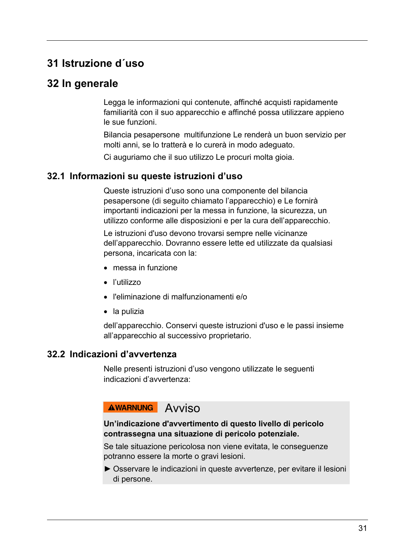# **31Istruzione d´uso**

# **32In generale**

Legga le informazioni qui contenute, affinché acquisti rapidamente familiarità con il suo apparecchio e affinché possa utilizzare appieno le sue funzioni.

Bilancia pesapersone multifunzione Le renderà un buon servizio per molti anni, se lo tratterà e lo curerà in modo adeguato.

Ci auguriamo che il suo utilizzo Le procuri molta gioia.

#### **32.1 Informazioni su queste istruzioni d'uso**

Queste istruzioni d'uso sono una componente del bilancia pesapersone (di seguito chiamato l'apparecchio) e Le fornirà importanti indicazioni per la messa in funzione, la sicurezza, un utilizzo conforme alle disposizioni e per la cura dell'apparecchio.

Le istruzioni d'uso devono trovarsi sempre nelle vicinanze dell'apparecchio. Dovranno essere lette ed utilizzate da qualsiasi persona, incaricata con la:

- messa in funzione
- l'utilizzo
- l'eliminazione di malfunzionamenti e/o
- la pulizia

dell'apparecchio. Conservi queste istruzioni d'uso e le passi insieme all'apparecchio al successivo proprietario.

#### **32.2 Indicazioni d'avvertenza**

Nelle presenti istruzioni d'uso vengono utilizzate le seguenti indicazioni d'avvertenza:

# AWARNUNG AVVISO

#### **Un'indicazione d'avvertimento di questo livello di pericolo contrassegna una situazione di pericolo potenziale.**

Se tale situazione pericolosa non viene evitata, le conseguenze potranno essere la morte o gravi lesioni.

► Osservare le indicazioni in queste avvertenze, per evitare il lesioni di persone.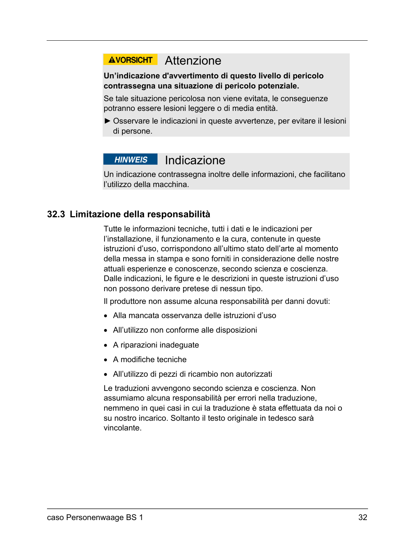# **AVORSICHT** Attenzione

#### **Un'indicazione d'avvertimento di questo livello di pericolo contrassegna una situazione di pericolo potenziale.**

Se tale situazione pericolosa non viene evitata, le conseguenze potranno essere lesioni leggere o di media entità.

► Osservare le indicazioni in queste avvertenze, per evitare il lesioni di persone.

# **HINWEIS** Indicazione

Un indicazione contrassegna inoltre delle informazioni, che facilitano l'utilizzo della macchina.

### **32.3 Limitazione della responsabilità**

Tutte le informazioni tecniche, tutti i dati e le indicazioni per l'installazione, il funzionamento e la cura, contenute in queste istruzioni d'uso, corrispondono all'ultimo stato dell'arte al momento della messa in stampa e sono forniti in considerazione delle nostre attuali esperienze e conoscenze, secondo scienza e coscienza. Dalle indicazioni, le figure e le descrizioni in queste istruzioni d'uso non possono derivare pretese di nessun tipo.

Il produttore non assume alcuna responsabilità per danni dovuti:

- Alla mancata osservanza delle istruzioni d'uso
- All'utilizzo non conforme alle disposizioni
- A riparazioni inadeguate
- A modifiche tecniche
- All'utilizzo di pezzi di ricambio non autorizzati

Le traduzioni avvengono secondo scienza e coscienza. Non assumiamo alcuna responsabilità per errori nella traduzione, nemmeno in quei casi in cui la traduzione è stata effettuata da noi o su nostro incarico. Soltanto il testo originale in tedesco sarà vincolante.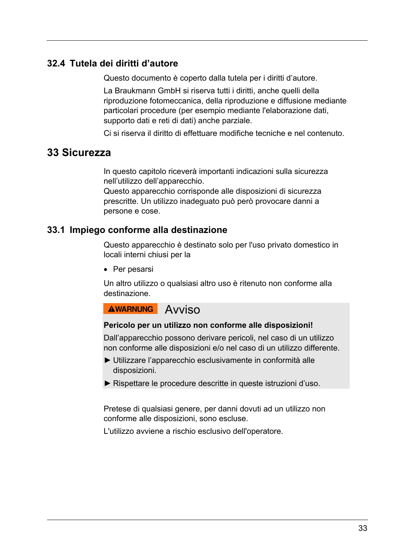#### **32.4 Tutela dei diritti d'autore**

Questo documento è coperto dalla tutela per i diritti d'autore.

La Braukmann GmbH si riserva tutti i diritti, anche quelli della riproduzione fotomeccanica, della riproduzione e diffusione mediante particolari procedure (per esempio mediante l'elaborazione dati, supporto dati e reti di dati) anche parziale.

Ci si riserva il diritto di effettuare modifiche tecniche e nel contenuto.

#### **33Sicurezza**

In questo capitolo riceverà importanti indicazioni sulla sicurezza nell'utilizzo dell'apparecchio.

Questo apparecchio corrisponde alle disposizioni di sicurezza prescritte. Un utilizzo inadeguato può però provocare danni a persone e cose.

#### **33.1 Impiego conforme alla destinazione**

Questo apparecchio è destinato solo per l'uso privato domestico in locali interni chiusi per la

• Per pesarsi

Un altro utilizzo o qualsiasi altro uso è ritenuto non conforme alla destinazione.

**AWARNUNG** Avviso

#### **Pericolo per un utilizzo non conforme alle disposizioni!**

Dall'apparecchio possono derivare pericoli, nel caso di un utilizzo non conforme alle disposizioni e/o nel caso di un utilizzo differente.

- ► Utilizzare l'apparecchio esclusivamente in conformità alle disposizioni.
- ► Rispettare le procedure descritte in queste istruzioni d'uso.

Pretese di qualsiasi genere, per danni dovuti ad un utilizzo non conforme alle disposizioni, sono escluse.

L'utilizzo avviene a rischio esclusivo dell'operatore.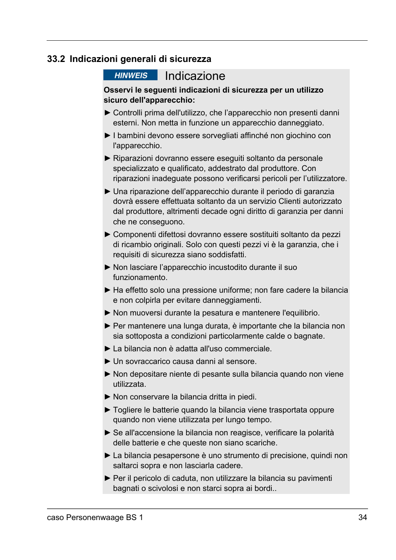#### **33.2 Indicazioni generali di sicurezza**

#### **HINWEIS** Indicazione

**Osservi le seguenti indicazioni di sicurezza per un utilizzo sicuro dell'apparecchio:** 

- ► Controlli prima dell'utilizzo, che l'apparecchio non presenti danni esterni. Non metta in funzione un apparecchio danneggiato.
- ► I bambini devono essere sorvegliati affinché non giochino con l'apparecchio.
- ► Riparazioni dovranno essere eseguiti soltanto da personale specializzato e qualificato, addestrato dal produttore. Con riparazioni inadeguate possono verificarsi pericoli per l'utilizzatore.
- ► Una riparazione dell'apparecchio durante il periodo di garanzia dovrà essere effettuata soltanto da un servizio Clienti autorizzato dal produttore, altrimenti decade ogni diritto di garanzia per danni che ne conseguono.
- ► Componenti difettosi dovranno essere sostituiti soltanto da pezzi di ricambio originali. Solo con questi pezzi vi è la garanzia, che i requisiti di sicurezza siano soddisfatti.
- ► Non lasciare l'apparecchio incustodito durante il suo funzionamento.
- ► Ha effetto solo una pressione uniforme; non fare cadere la bilancia e non colpirla per evitare danneggiamenti.
- ► Non muoversi durante la pesatura e mantenere l'equilibrio.
- ► Per mantenere una lunga durata, è importante che la bilancia non sia sottoposta a condizioni particolarmente calde o bagnate.
- ► La bilancia non è adatta all'uso commerciale.
- ► Un sovraccarico causa danni al sensore.
- ► Non depositare niente di pesante sulla bilancia quando non viene utilizzata.
- ► Non conservare la bilancia dritta in piedi.
- ► Togliere le batterie quando la bilancia viene trasportata oppure quando non viene utilizzata per lungo tempo.
- ► Se all'accensione la bilancia non reagisce, verificare la polarità delle batterie e che queste non siano scariche.
- ► La bilancia pesapersone è uno strumento di precisione, quindi non saltarci sopra e non lasciarla cadere.
- ► Per il pericolo di caduta, non utilizzare la bilancia su pavimenti bagnati o scivolosi e non starci sopra ai bordi..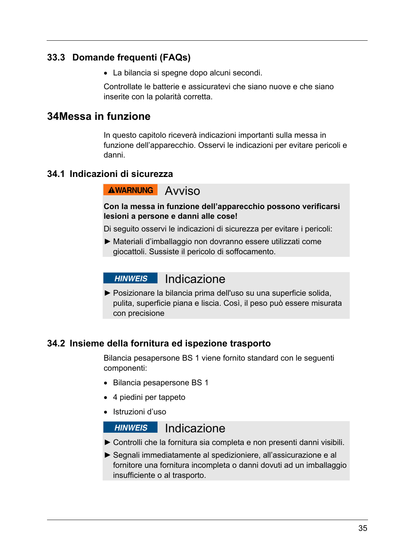### **33.3 Domande frequenti (FAQs)**

La bilancia si spegne dopo alcuni secondi.

Controllate le batterie e assicuratevi che siano nuove e che siano inserite con la polarità corretta.

# **34 Messa in funzione**

In questo capitolo riceverà indicazioni importanti sulla messa in funzione dell'apparecchio. Osservi le indicazioni per evitare pericoli e danni.

### **34.1 Indicazioni di sicurezza**

# **AWARNUNG** AVVISO

#### **Con la messa in funzione dell'apparecchio possono verificarsi lesioni a persone e danni alle cose!**

Di seguito osservi le indicazioni di sicurezza per evitare i pericoli:

► Materiali d'imballaggio non dovranno essere utilizzati come giocattoli. Sussiste il pericolo di soffocamento.

#### **HINWEIS** Indicazione

► Posizionare la bilancia prima dell'uso su una superficie solida, pulita, superficie piana e liscia. Così, il peso può essere misurata con precisione

#### **34.2 Insieme della fornitura ed ispezione trasporto**

Bilancia pesapersone BS 1 viene fornito standard con le seguenti componenti:

- Bilancia pesapersone BS 1
- 4 piedini per tappeto
- Istruzioni d'uso

## **HINWEIS** Indicazione

- ► Controlli che la fornitura sia completa e non presenti danni visibili.
- ► Segnali immediatamente al spedizioniere, all'assicurazione e al fornitore una fornitura incompleta o danni dovuti ad un imballaggio insufficiente o al trasporto.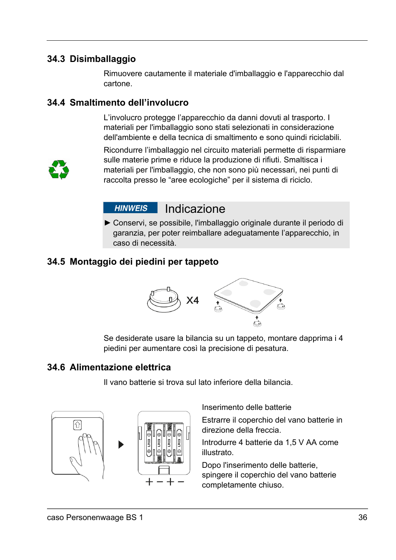### **34.3 Disimballaggio**

Rimuovere cautamente il materiale d'imballaggio e l'apparecchio dal cartone.

#### **34.4 Smaltimento dell'involucro**

L'involucro protegge l'apparecchio da danni dovuti al trasporto. I materiali per l'imballaggio sono stati selezionati in considerazione dell'ambiente e della tecnica di smaltimento e sono quindi riciclabili.



Ricondurre l'imballaggio nel circuito materiali permette di risparmiare sulle materie prime e riduce la produzione di rifiuti. Smaltisca i materiali per l'imballaggio, che non sono più necessari, nei punti di raccolta presso le "aree ecologiche" per il sistema di riciclo.

#### Indicazione **HINWEIS**

► Conservi, se possibile, l'imballaggio originale durante il periodo di garanzia, per poter reimballare adeguatamente l'apparecchio, in caso di necessità.

# **34.5 Montaggio dei piedini per tappeto**



Se desiderate usare la bilancia su un tappeto, montare dapprima i 4 piedini per aumentare così la precisione di pesatura.

#### **34.6 Alimentazione elettrica**

Il vano batterie si trova sul lato inferiore della bilancia.





Inserimento delle batterie

Estrarre il coperchio del vano batterie in direzione della freccia.

Introdurre 4 batterie da 1,5 V AA come illustrato.

Dopo l'inserimento delle batterie, spingere il coperchio del vano batterie completamente chiuso.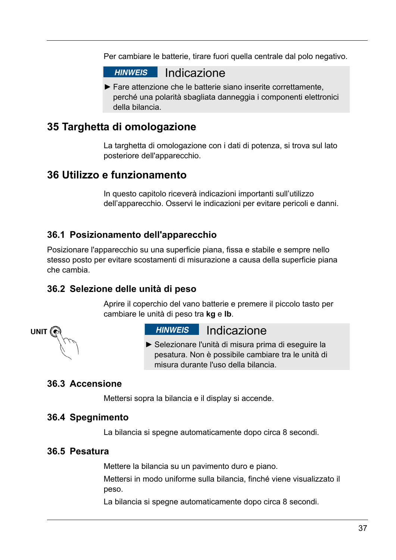Per cambiare le batterie, tirare fuori quella centrale dal polo negativo.



► Fare attenzione che le batterie siano inserite correttamente, perché una polarità sbagliata danneggia i componenti elettronici della bilancia.

# **35Targhetta di omologazione**

La targhetta di omologazione con i dati di potenza, si trova sul lato posteriore dell'apparecchio.

# **36Utilizzo e funzionamento**

In questo capitolo riceverà indicazioni importanti sull'utilizzo dell'apparecchio. Osservi le indicazioni per evitare pericoli e danni.

### **36.1 Posizionamento dell'apparecchio**

Posizionare l'apparecchio su una superficie piana, fissa e stabile e sempre nello stesso posto per evitare scostamenti di misurazione a causa della superficie piana che cambia.

#### **36.2 Selezione delle unità di peso**

Aprire il coperchio del vano batterie e premere il piccolo tasto per cambiare le unità di peso tra **kg** e **lb**.



## **HINWEIS** Indicazione

► Selezionare l'unità di misura prima di eseguire la pesatura. Non è possibile cambiare tra le unità di misura durante l'uso della bilancia.

#### **36.3 Accensione**

Mettersi sopra la bilancia e il display si accende.

#### **36.4 Spegnimento**

La bilancia si spegne automaticamente dopo circa 8 secondi.

#### **36.5 Pesatura**

Mettere la bilancia su un pavimento duro e piano.

Mettersi in modo uniforme sulla bilancia, finché viene visualizzato il peso.

La bilancia si spegne automaticamente dopo circa 8 secondi.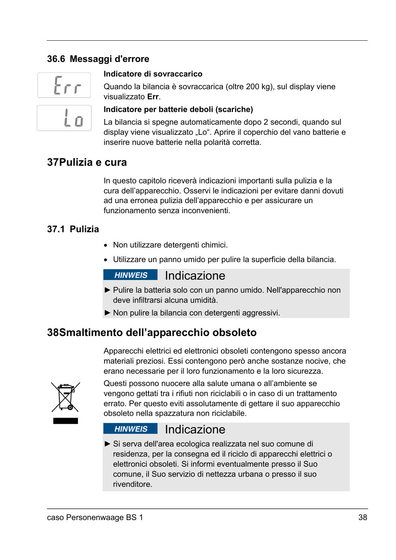# **36.6 Messaggi d'errore**



#### **Indicatore di sovraccarico**

Quando la bilancia è sovraccarica (oltre 200 kg), sul display viene visualizzato **Err**.

#### **Indicatore per batterie deboli (scariche)**

La bilancia si spegne automaticamente dopo 2 secondi, quando sul display viene visualizzato "Lo". Aprire il coperchio del vano batterie e inserire nuove batterie nella polarità corretta.

## **37 Pulizia e cura**

In questo capitolo riceverà indicazioni importanti sulla pulizia e la cura dell'apparecchio. Osservi le indicazioni per evitare danni dovuti ad una erronea pulizia dell'apparecchio e per assicurare un funzionamento senza inconvenienti.

#### **37.1 Pulizia**

- Non utilizzare detergenti chimici.
- Utilizzare un panno umido per pulire la superficie della bilancia.

# **HINWEIS** Indicazione

- ► Pulire la batteria solo con un panno umido. Nell'apparecchio non deve infiltrarsi alcuna umidità.
- ► Non pulire la bilancia con detergenti aggressivi.

# **38 Smaltimento dell'apparecchio obsoleto**

Apparecchi elettrici ed elettronici obsoleti contengono spesso ancora materiali preziosi. Essi contengono però anche sostanze nocive, che erano necessarie per il loro funzionamento e la loro sicurezza.



Questi possono nuocere alla salute umana o all'ambiente se vengono gettati tra i rifiuti non riciclabili o in caso di un trattamento errato. Per questo eviti assolutamente di gettare il suo apparecchio obsoleto nella spazzatura non riciclabile.

#### **HINWEIS** Indicazione

► Si serva dell'area ecologica realizzata nel suo comune di residenza, per la consegna ed il riciclo di apparecchi elettrici o elettronici obsoleti. Si informi eventualmente presso il Suo comune, il Suo servizio di nettezza urbana o presso il suo rivenditore.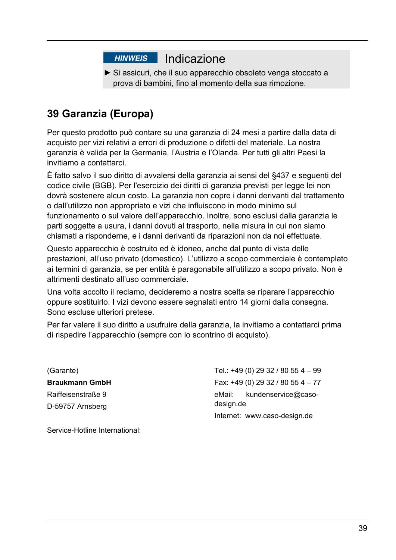# HINWEIS Indicazione

► Si assicuri, che il suo apparecchio obsoleto venga stoccato a prova di bambini, fino al momento della sua rimozione.

# **39Garanzia (Europa)**

Per questo prodotto può contare su una garanzia di 24 mesi a partire dalla data di acquisto per vizi relativi a errori di produzione o difetti del materiale. La nostra garanzia è valida per la Germania, l'Austria e l'Olanda. Per tutti gli altri Paesi la invitiamo a contattarci.

È fatto salvo il suo diritto di avvalersi della garanzia ai sensi del §437 e seguenti del codice civile (BGB). Per l'esercizio dei diritti di garanzia previsti per legge lei non dovrà sostenere alcun costo. La garanzia non copre i danni derivanti dal trattamento o dall'utilizzo non appropriato e vizi che influiscono in modo minimo sul funzionamento o sul valore dell'apparecchio. Inoltre, sono esclusi dalla garanzia le parti soggette a usura, i danni dovuti al trasporto, nella misura in cui non siamo chiamati a risponderne, e i danni derivanti da riparazioni non da noi effettuate.

Questo apparecchio è costruito ed è idoneo, anche dal punto di vista delle prestazioni, all'uso privato (domestico). L'utilizzo a scopo commerciale è contemplato ai termini di garanzia, se per entità è paragonabile all'utilizzo a scopo privato. Non è altrimenti destinato all'uso commerciale.

Una volta accolto il reclamo, decideremo a nostra scelta se riparare l'apparecchio oppure sostituirlo. I vizi devono essere segnalati entro 14 giorni dalla consegna. Sono escluse ulteriori pretese.

Per far valere il suo diritto a usufruire della garanzia, la invitiamo a contattarci prima di rispedire l'apparecchio (sempre con lo scontrino di acquisto).

(Garante) **Braukmann GmbH**  Raiffeisenstraße 9 D-59757 Arnsberg

Tel.: +49 (0) 29 32 / 80 55 4 – 99 Fax: +49 (0) 29 32 / 80 55 4 – 77 eMail: kundenservice@casodesign.de Internet: www.caso-design.de

Service-Hotline International: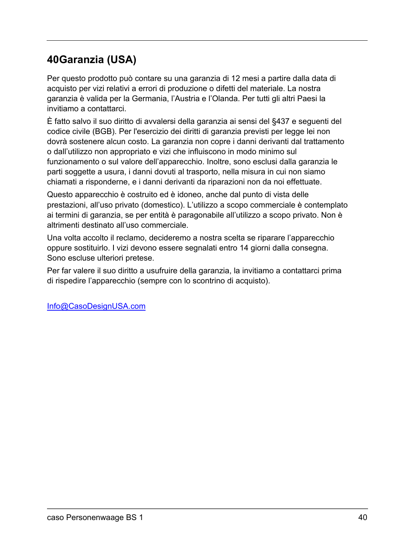# **40 Garanzia (USA)**

Per questo prodotto può contare su una garanzia di 12 mesi a partire dalla data di acquisto per vizi relativi a errori di produzione o difetti del materiale. La nostra garanzia è valida per la Germania, l'Austria e l'Olanda. Per tutti gli altri Paesi la invitiamo a contattarci.

È fatto salvo il suo diritto di avvalersi della garanzia ai sensi del §437 e seguenti del codice civile (BGB). Per l'esercizio dei diritti di garanzia previsti per legge lei non dovrà sostenere alcun costo. La garanzia non copre i danni derivanti dal trattamento o dall'utilizzo non appropriato e vizi che influiscono in modo minimo sul funzionamento o sul valore dell'apparecchio. Inoltre, sono esclusi dalla garanzia le parti soggette a usura, i danni dovuti al trasporto, nella misura in cui non siamo chiamati a risponderne, e i danni derivanti da riparazioni non da noi effettuate.

Questo apparecchio è costruito ed è idoneo, anche dal punto di vista delle prestazioni, all'uso privato (domestico). L'utilizzo a scopo commerciale è contemplato ai termini di garanzia, se per entità è paragonabile all'utilizzo a scopo privato. Non è altrimenti destinato all'uso commerciale.

Una volta accolto il reclamo, decideremo a nostra scelta se riparare l'apparecchio oppure sostituirlo. I vizi devono essere segnalati entro 14 giorni dalla consegna. Sono escluse ulteriori pretese.

Per far valere il suo diritto a usufruire della garanzia, la invitiamo a contattarci prima di rispedire l'apparecchio (sempre con lo scontrino di acquisto).

Info@CasoDesignUSA.com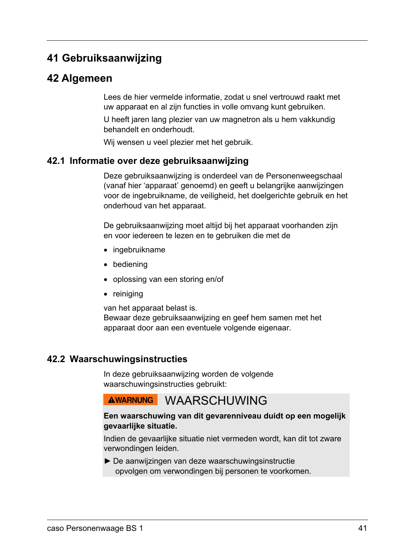# **41Gebruiksaanwijzing**

# **42Algemeen**

Lees de hier vermelde informatie, zodat u snel vertrouwd raakt met uw apparaat en al zijn functies in volle omvang kunt gebruiken.

U heeft jaren lang plezier van uw magnetron als u hem vakkundig behandelt en onderhoudt.

Wij wensen u veel plezier met het gebruik.

#### **42.1 Informatie over deze gebruiksaanwijzing**

Deze gebruiksaanwijzing is onderdeel van de Personenweegschaal (vanaf hier 'apparaat' genoemd) en geeft u belangrijke aanwijzingen voor de ingebruikname, de veiligheid, het doelgerichte gebruik en het onderhoud van het apparaat.

De gebruiksaanwijzing moet altijd bij het apparaat voorhanden zijn en voor iedereen te lezen en te gebruiken die met de

- ingebruikname
- bediening
- oplossing van een storing en/of
- reiniging

van het apparaat belast is. Bewaar deze gebruiksaanwijzing en geef hem samen met het apparaat door aan een eventuele volgende eigenaar.

#### **42.2 Waarschuwingsinstructies**

In deze gebruiksaanwijzing worden de volgende waarschuwingsinstructies gebruikt:

# AWARNUNG WAARSCHUWING

#### **Een waarschuwing van dit gevarenniveau duidt op een mogelijk gevaarlijke situatie.**

Indien de gevaarlijke situatie niet vermeden wordt, kan dit tot zware verwondingen leiden.

► De aanwijzingen van deze waarschuwingsinstructie opvolgen om verwondingen bij personen te voorkomen.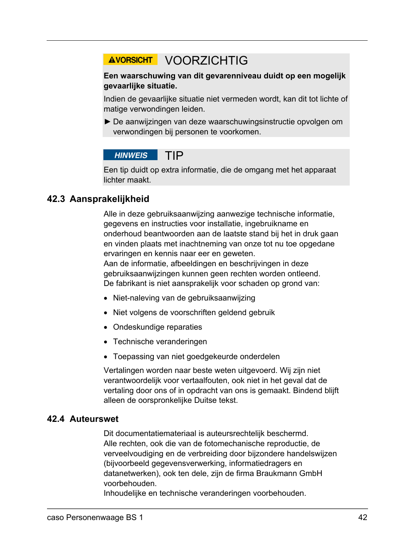# AVORSICHT VOORZICHTIG

#### **Een waarschuwing van dit gevarenniveau duidt op een mogelijk gevaarlijke situatie.**

Indien de gevaarlijke situatie niet vermeden wordt, kan dit tot lichte of matige verwondingen leiden.

► De aanwijzingen van deze waarschuwingsinstructie opvolgen om verwondingen bij personen te voorkomen.

#### **HINWEIS** TIP

Een tip duidt op extra informatie, die de omgang met het apparaat lichter maakt.

### **42.3 Aansprakelijkheid**

Alle in deze gebruiksaanwijzing aanwezige technische informatie, gegevens en instructies voor installatie, ingebruikname en onderhoud beantwoorden aan de laatste stand bij het in druk gaan en vinden plaats met inachtneming van onze tot nu toe opgedane ervaringen en kennis naar eer en geweten. Aan de informatie, afbeeldingen en beschrijvingen in deze gebruiksaanwijzingen kunnen geen rechten worden ontleend. De fabrikant is niet aansprakelijk voor schaden op grond van:

- Niet-naleving van de gebruiksaanwijzing
- Niet volgens de voorschriften geldend gebruik
- Ondeskundige reparaties
- Technische veranderingen
- Toepassing van niet goedgekeurde onderdelen

Vertalingen worden naar beste weten uitgevoerd. Wij zijn niet verantwoordelijk voor vertaalfouten, ook niet in het geval dat de vertaling door ons of in opdracht van ons is gemaakt. Bindend blijft alleen de oorspronkelijke Duitse tekst.

#### **42.4 Auteurswet**

Dit documentatiemateriaal is auteursrechtelijk beschermd. Alle rechten, ook die van de fotomechanische reproductie, de verveelvoudiging en de verbreiding door bijzondere handelswijzen (bijvoorbeeld gegevensverwerking, informatiedragers en datanetwerken), ook ten dele, zijn de firma Braukmann GmbH voorbehouden.

Inhoudelijke en technische veranderingen voorbehouden.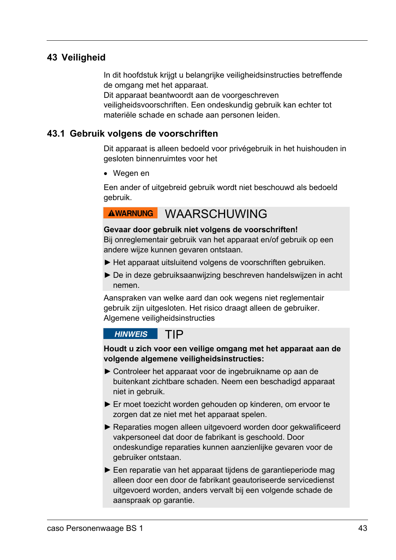#### **43 Veiligheid**

In dit hoofdstuk krijgt u belangrijke veiligheidsinstructies betreffende de omgang met het apparaat.

Dit apparaat beantwoordt aan de voorgeschreven veiligheidsvoorschriften. Een ondeskundig gebruik kan echter tot materiële schade en schade aan personen leiden.

#### **43.1 Gebruik volgens de voorschriften**

Dit apparaat is alleen bedoeld voor privégebruik in het huishouden in gesloten binnenruimtes voor het

Wegen en

Een ander of uitgebreid gebruik wordt niet beschouwd als bedoeld gebruik.

# AWARNUNG WAARSCHUWING

#### **Gevaar door gebruik niet volgens de voorschriften!**

Bij onreglementair gebruik van het apparaat en/of gebruik op een andere wijze kunnen gevaren ontstaan.

- ► Het apparaat uitsluitend volgens de voorschriften gebruiken.
- ► De in deze gebruiksaanwijzing beschreven handelswijzen in acht nemen.

Aanspraken van welke aard dan ook wegens niet reglementair gebruik zijn uitgesloten. Het risico draagt alleen de gebruiker. Algemene veiligheidsinstructies

#### **HINWEIS** TIP

**Houdt u zich voor een veilige omgang met het apparaat aan de volgende algemene veiligheidsinstructies:** 

- ► Controleer het apparaat voor de ingebruikname op aan de buitenkant zichtbare schaden. Neem een beschadigd apparaat niet in gebruik.
- ► Er moet toezicht worden gehouden op kinderen, om ervoor te zorgen dat ze niet met het apparaat spelen.
- ► Reparaties mogen alleen uitgevoerd worden door gekwalificeerd vakpersoneel dat door de fabrikant is geschoold. Door ondeskundige reparaties kunnen aanzienlijke gevaren voor de gebruiker ontstaan.
- ► Een reparatie van het apparaat tijdens de garantieperiode mag alleen door een door de fabrikant geautoriseerde servicedienst uitgevoerd worden, anders vervalt bij een volgende schade de aanspraak op garantie.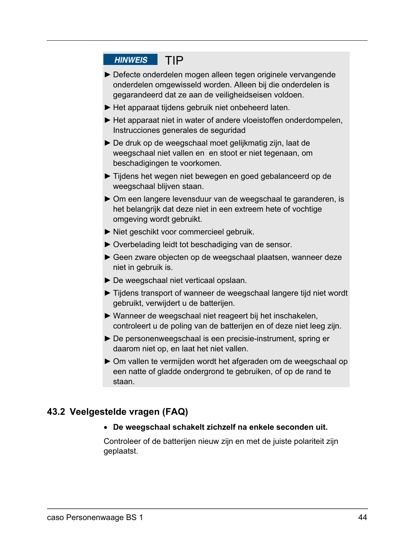### HINWEIS TIP

- ► Defecte onderdelen mogen alleen tegen originele vervangende onderdelen omgewisseld worden. Alleen bij die onderdelen is gegarandeerd dat ze aan de veiligheidseisen voldoen.
- ► Het apparaat tijdens gebruik niet onbeheerd laten.
- ► Het apparaat niet in water of andere vloeistoffen onderdompelen, Instrucciones generales de seguridad
- ► De druk op de weegschaal moet gelijkmatig zijn, laat de weegschaal niet vallen en en stoot er niet tegenaan, om beschadigingen te voorkomen.
- ► Tijdens het wegen niet bewegen en goed gebalanceerd op de weegschaal blijven staan.
- ► Om een langere levensduur van de weegschaal te garanderen, is het belangrijk dat deze niet in een extreem hete of vochtige omgeving wordt gebruikt.
- ► Niet geschikt voor commercieel gebruik.
- ► Overbelading leidt tot beschadiging van de sensor.
- ► Geen zware objecten op de weegschaal plaatsen, wanneer deze niet in gebruik is.
- ► De weegschaal niet verticaal opslaan.
- ► Tijdens transport of wanneer de weegschaal langere tijd niet wordt gebruikt, verwijdert u de batterijen.
- ► Wanneer de weegschaal niet reageert bij het inschakelen, controleert u de poling van de batterijen en of deze niet leeg zijn.
- ► De personenweegschaal is een precisie-instrument, spring er daarom niet op, en laat het niet vallen.
- ► Om vallen te vermijden wordt het afgeraden om de weegschaal op een natte of gladde ondergrond te gebruiken, of op de rand te staan.

#### **43.2 Veelgestelde vragen (FAQ)**

#### **De weegschaal schakelt zichzelf na enkele seconden uit.**

Controleer of de batterijen nieuw zijn en met de juiste polariteit zijn geplaatst.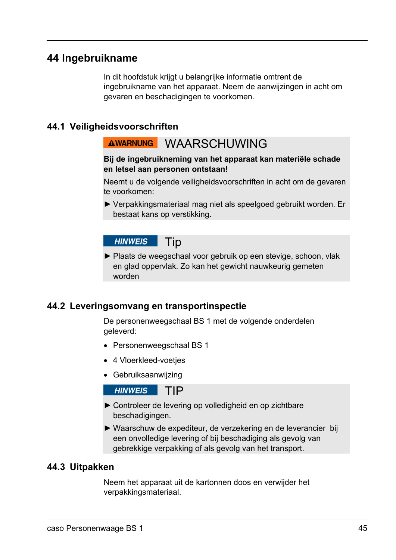# **44Ingebruikname**

In dit hoofdstuk krijgt u belangrijke informatie omtrent de ingebruikname van het apparaat. Neem de aanwijzingen in acht om gevaren en beschadigingen te voorkomen.

#### **44.1 Veiligheidsvoorschriften**

# AWARNUNG WAARSCHUWING

#### **Bij de ingebruikneming van het apparaat kan materiële schade en letsel aan personen ontstaan!**

Neemt u de volgende veiligheidsvoorschriften in acht om de gevaren te voorkomen:

► Verpakkingsmateriaal mag niet als speelgoed gebruikt worden. Er bestaat kans op verstikking.

 Tip **HINWEIS** 

► Plaats de weegschaal voor gebruik op een stevige, schoon, vlak en glad oppervlak. Zo kan het gewicht nauwkeurig gemeten worden

#### **44.2 Leveringsomvang en transportinspectie**

De personenweegschaal BS 1 met de volgende onderdelen geleverd:

- Personenweegschaal BS 1
- 4 Vloerkleed-voetjes
- Gebruiksaanwijzing

**HINWEIS** TIP

- ► Controleer de levering op volledigheid en op zichtbare beschadigingen.
- ► Waarschuw de expediteur, de verzekering en de leverancier bij een onvolledige levering of bij beschadiging als gevolg van gebrekkige verpakking of als gevolg van het transport.

#### **44.3 Uitpakken**

Neem het apparaat uit de kartonnen doos en verwijder het verpakkingsmateriaal.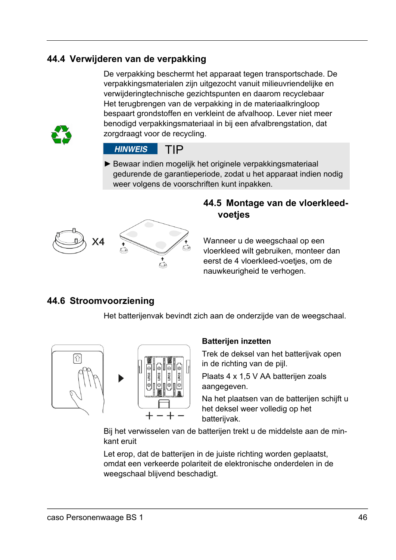### **44.4 Verwijderen van de verpakking**

De verpakking beschermt het apparaat tegen transportschade. De verpakkingsmaterialen zijn uitgezocht vanuit milieuvriendelijke en verwijderingtechnische gezichtspunten en daarom recyclebaar Het terugbrengen van de verpakking in de materiaalkringloop bespaart grondstoffen en verkleint de afvalhoop. Lever niet meer benodigd verpakkingsmateriaal in bij een afvalbrengstation, dat zorgdraagt voor de recycling.



#### **HINWEIS** TIP

► Bewaar indien mogelijk het originele verpakkingsmateriaal gedurende de garantieperiode, zodat u het apparaat indien nodig weer volgens de voorschriften kunt inpakken.



#### **44.5 Montage van de vloerkleedvoetjes**

Wanneer u de weegschaal op een vloerkleed wilt gebruiken, monteer dan eerst de 4 vloerkleed-voetjes, om de nauwkeurigheid te verhogen.

## **44.6 Stroomvoorziening**

Het batterijenvak bevindt zich aan de onderzijde van de weegschaal.



#### **Batterijen inzetten**

Trek de deksel van het batterijvak open in de richting van de pijl.

Plaats 4 x 1,5 V AA batterijen zoals aangegeven.

Na het plaatsen van de batterijen schijft u het deksel weer volledig op het batterijvak.

Bij het verwisselen van de batterijen trekt u de middelste aan de minkant eruit

Let erop, dat de batterijen in de juiste richting worden geplaatst, omdat een verkeerde polariteit de elektronische onderdelen in de weegschaal blijvend beschadigt.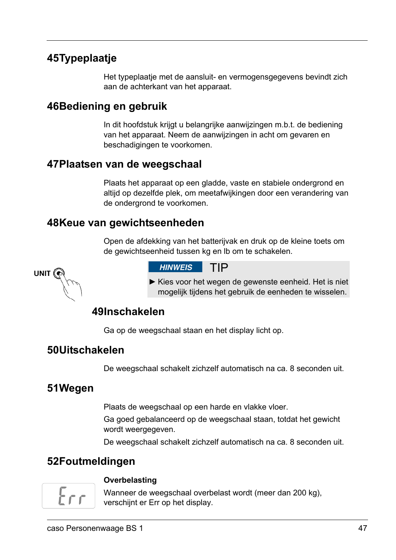# **45 Typeplaatje**

Het typeplaatje met de aansluit- en vermogensgegevens bevindt zich aan de achterkant van het apparaat.

# **46 Bediening en gebruik**

In dit hoofdstuk krijgt u belangrijke aanwijzingen m.b.t. de bediening van het apparaat. Neem de aanwijzingen in acht om gevaren en beschadigingen te voorkomen.

### **47 Plaatsen van de weegschaal**

Plaats het apparaat op een gladde, vaste en stabiele ondergrond en altijd op dezelfde plek, om meetafwijkingen door een verandering van de ondergrond te voorkomen.

## **48 Keue van gewichtseenheden**

Open de afdekking van het batterijvak en druk op de kleine toets om de gewichtseenheid tussen kg en lb om te schakelen.

UNIT<sup>(</sup>

**HINWEIS** TIP

► Kies voor het wegen de gewenste eenheid. Het is niet mogelijk tijdens het gebruik de eenheden te wisselen.

# **49 Inschakelen**

Ga op de weegschaal staan en het display licht op.

## **50 Uitschakelen**

De weegschaal schakelt zichzelf automatisch na ca. 8 seconden uit.

# **51 Wegen**

Plaats de weegschaal op een harde en vlakke vloer.

Ga goed gebalanceerd op de weegschaal staan, totdat het gewicht wordt weergegeven.

De weegschaal schakelt zichzelf automatisch na ca. 8 seconden uit.

# **52 Foutmeldingen**



#### **Overbelasting**

Wanneer de weegschaal overbelast wordt (meer dan 200 kg), verschijnt er Err op het display.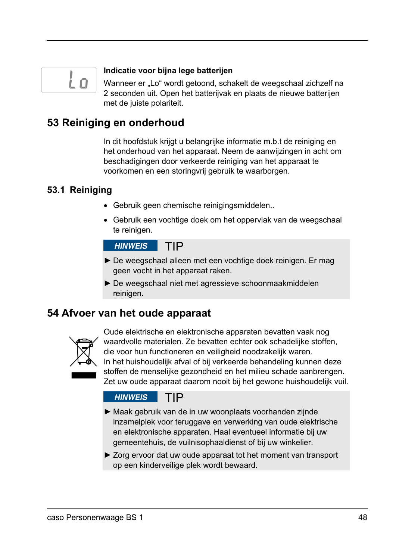

#### **Indicatie voor bijna lege batterijen**

Wanneer er "Lo" wordt getoond, schakelt de weegschaal zichzelf na 2 seconden uit. Open het batterijvak en plaats de nieuwe batterijen met de juiste polariteit.

# **53Reiniging en onderhoud**

In dit hoofdstuk krijgt u belangrijke informatie m.b.t de reiniging en het onderhoud van het apparaat. Neem de aanwijzingen in acht om beschadigingen door verkeerde reiniging van het apparaat te voorkomen en een storingvrij gebruik te waarborgen.

### **53.1 Reiniging**

- Gebruik geen chemische reinigingsmiddelen..
- Gebruik een vochtige doek om het oppervlak van de weegschaal te reinigen.

**HINWEIS** TIP

- ► De weegschaal alleen met een vochtige doek reinigen. Er mag geen vocht in het apparaat raken.
- ► De weegschaal niet met agressieve schoonmaakmiddelen reinigen.

# **54Afvoer van het oude apparaat**



Oude elektrische en elektronische apparaten bevatten vaak nog waardvolle materialen. Ze bevatten echter ook schadelijke stoffen, die voor hun functioneren en veiligheid noodzakelijk waren. In het huishoudelijk afval of bij verkeerde behandeling kunnen deze stoffen de menselijke gezondheid en het milieu schade aanbrengen. Zet uw oude apparaat daarom nooit bij het gewone huishoudelijk vuil.

#### **HINWEIS** TIP

- ► Maak gebruik van de in uw woonplaats voorhanden zijnde inzamelplek voor teruggave en verwerking van oude elektrische en elektronische apparaten. Haal eventueel informatie bij uw gemeentehuis, de vuilnisophaaldienst of bij uw winkelier.
- ► Zorg ervoor dat uw oude apparaat tot het moment van transport op een kinderveilige plek wordt bewaard.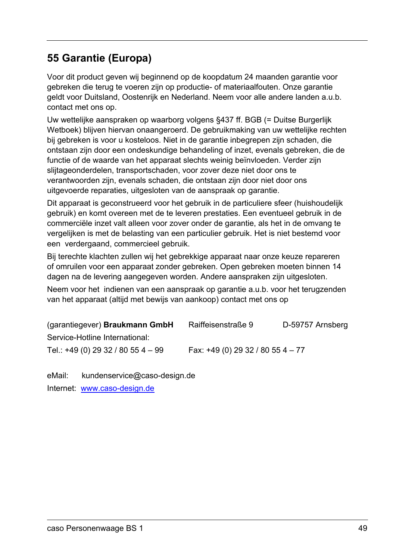# **55Garantie (Europa)**

Voor dit product geven wij beginnend op de koopdatum 24 maanden garantie voor gebreken die terug te voeren zijn op productie- of materiaalfouten. Onze garantie geldt voor Duitsland, Oostenrijk en Nederland. Neem voor alle andere landen a.u.b. contact met ons op.

Uw wettelijke aanspraken op waarborg volgens §437 ff. BGB (= Duitse Burgerlijk Wetboek) blijven hiervan onaangeroerd. De gebruikmaking van uw wettelijke rechten bij gebreken is voor u kosteloos. Niet in de garantie inbegrepen zijn schaden, die ontstaan zijn door een ondeskundige behandeling of inzet, evenals gebreken, die de functie of de waarde van het apparaat slechts weinig beïnvloeden. Verder zijn slijtageonderdelen, transportschaden, voor zover deze niet door ons te verantwoorden zijn, evenals schaden, die ontstaan zijn door niet door ons uitgevoerde reparaties, uitgesloten van de aanspraak op garantie.

Dit apparaat is geconstrueerd voor het gebruik in de particuliere sfeer (huishoudelijk gebruik) en komt overeen met de te leveren prestaties. Een eventueel gebruik in de commerciële inzet valt alleen voor zover onder de garantie, als het in de omvang te vergelijken is met de belasting van een particulier gebruik. Het is niet bestemd voor een verdergaand, commercieel gebruik.

Bij terechte klachten zullen wij het gebrekkige apparaat naar onze keuze repareren of omruilen voor een apparaat zonder gebreken. Open gebreken moeten binnen 14 dagen na de levering aangegeven worden. Andere aanspraken zijn uitgesloten.

Neem voor het indienen van een aanspraak op garantie a.u.b. voor het terugzenden van het apparaat (altijd met bewijs van aankoop) contact met ons op

| (garantiegever) Braukmann GmbH     | Raiffeisenstraße 9                 | D-59757 Arnsberg |
|------------------------------------|------------------------------------|------------------|
| Service-Hotline International:     |                                    |                  |
| Tel.: +49 (0) 29 32 / 80 55 4 - 99 | Fax: $+49(0)$ 29 32 / 80 55 4 - 77 |                  |

eMail: kundenservice@caso-design.de

Internet: www.caso-design.de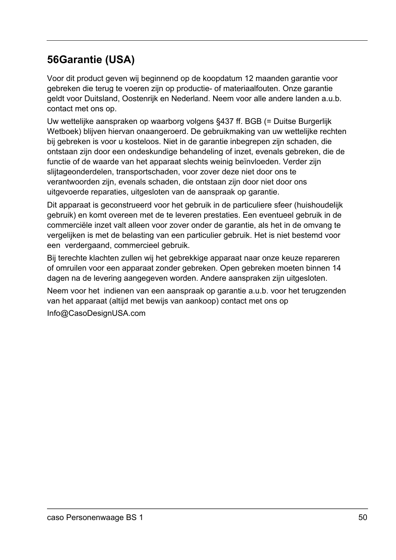# **56 Garantie (USA)**

Voor dit product geven wij beginnend op de koopdatum 12 maanden garantie voor gebreken die terug te voeren zijn op productie- of materiaalfouten. Onze garantie geldt voor Duitsland, Oostenrijk en Nederland. Neem voor alle andere landen a.u.b. contact met ons op.

Uw wettelijke aanspraken op waarborg volgens §437 ff. BGB (= Duitse Burgerlijk Wetboek) blijven hiervan onaangeroerd. De gebruikmaking van uw wettelijke rechten bij gebreken is voor u kosteloos. Niet in de garantie inbegrepen zijn schaden, die ontstaan zijn door een ondeskundige behandeling of inzet, evenals gebreken, die de functie of de waarde van het apparaat slechts weinig beïnvloeden. Verder zijn slijtageonderdelen, transportschaden, voor zover deze niet door ons te verantwoorden zijn, evenals schaden, die ontstaan zijn door niet door ons uitgevoerde reparaties, uitgesloten van de aanspraak op garantie.

Dit apparaat is geconstrueerd voor het gebruik in de particuliere sfeer (huishoudelijk gebruik) en komt overeen met de te leveren prestaties. Een eventueel gebruik in de commerciële inzet valt alleen voor zover onder de garantie, als het in de omvang te vergelijken is met de belasting van een particulier gebruik. Het is niet bestemd voor een verdergaand, commercieel gebruik.

Bij terechte klachten zullen wij het gebrekkige apparaat naar onze keuze repareren of omruilen voor een apparaat zonder gebreken. Open gebreken moeten binnen 14 dagen na de levering aangegeven worden. Andere aanspraken zijn uitgesloten.

Neem voor het indienen van een aanspraak op garantie a.u.b. voor het terugzenden van het apparaat (altijd met bewijs van aankoop) contact met ons op

Info@CasoDesignUSA.com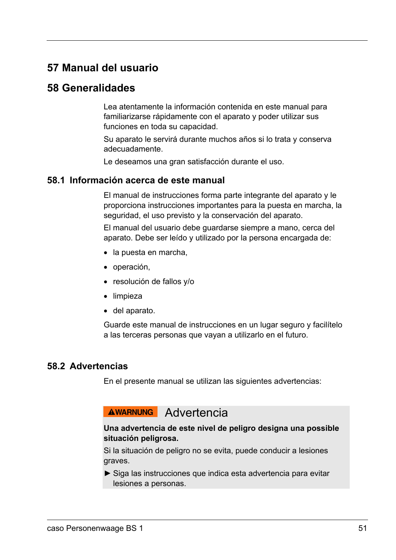# **57Manual del usuario**

# **58Generalidades**

Lea atentamente la información contenida en este manual para familiarizarse rápidamente con el aparato y poder utilizar sus funciones en toda su capacidad.

Su aparato le servirá durante muchos años si lo trata y conserva adecuadamente.

Le deseamos una gran satisfacción durante el uso.

#### **58.1 Información acerca de este manual**

El manual de instrucciones forma parte integrante del aparato y le proporciona instrucciones importantes para la puesta en marcha, la seguridad, el uso previsto y la conservación del aparato.

El manual del usuario debe guardarse siempre a mano, cerca del aparato. Debe ser leído y utilizado por la persona encargada de:

- la puesta en marcha.
- operación,
- resolución de fallos y/o
- limpieza
- del aparato.

Guarde este manual de instrucciones en un lugar seguro y facilítelo a las terceras personas que vayan a utilizarlo en el futuro.

#### **58.2 Advertencias**

En el presente manual se utilizan las siguientes advertencias:

# AWARNUNG Advertencia

#### **Una advertencia de este nivel de peligro designa una possible situación peligrosa.**

Si la situación de peligro no se evita, puede conducir a lesiones graves.

► Siga las instrucciones que indica esta advertencia para evitar lesiones a personas.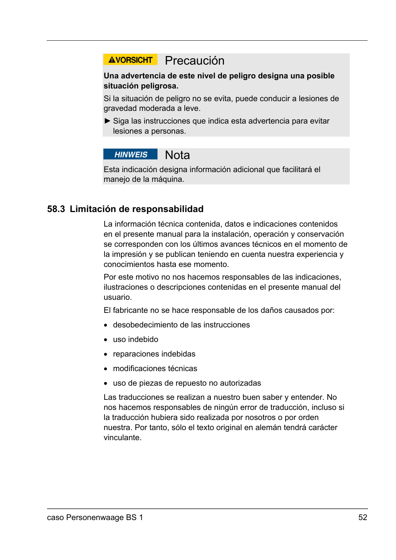# AVORSICHT Precaución

#### **Una advertencia de este nivel de peligro designa una posible situación peligrosa.**

Si la situación de peligro no se evita, puede conducir a lesiones de gravedad moderada a leve.

► Siga las instrucciones que indica esta advertencia para evitar lesiones a personas.

#### **HINWEIS** Nota

Esta indicación designa información adicional que facilitará el manejo de la máquina.

#### **58.3 Limitación de responsabilidad**

La información técnica contenida, datos e indicaciones contenidos en el presente manual para la instalación, operación y conservación se corresponden con los últimos avances técnicos en el momento de la impresión y se publican teniendo en cuenta nuestra experiencia y conocimientos hasta ese momento.

Por este motivo no nos hacemos responsables de las indicaciones, ilustraciones o descripciones contenidas en el presente manual del usuario.

El fabricante no se hace responsable de los daños causados por:

- desobedecimiento de las instrucciones
- uso indebido
- reparaciones indebidas
- modificaciones técnicas
- uso de piezas de repuesto no autorizadas

Las traducciones se realizan a nuestro buen saber y entender. No nos hacemos responsables de ningún error de traducción, incluso si la traducción hubiera sido realizada por nosotros o por orden nuestra. Por tanto, sólo el texto original en alemán tendrá carácter vinculante.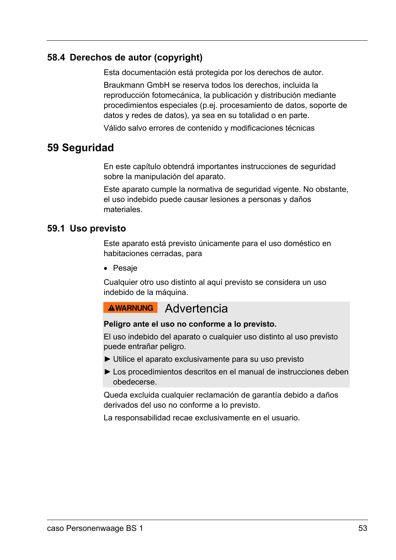#### **58.4 Derechos de autor (copyright)**

Esta documentación está protegida por los derechos de autor.

Braukmann GmbH se reserva todos los derechos, incluida la reproducción fotomecánica, la publicación y distribución mediante procedimientos especiales (p.ej. procesamiento de datos, soporte de datos y redes de datos), ya sea en su totalidad o en parte.

Válido salvo errores de contenido y modificaciones técnicas

# **59Seguridad**

En este capítulo obtendrá importantes instrucciones de seguridad sobre la manipulación del aparato.

Este aparato cumple la normativa de seguridad vigente. No obstante, el uso indebido puede causar lesiones a personas y daños materiales.

#### **59.1 Uso previsto**

Este aparato está previsto únicamente para el uso doméstico en habitaciones cerradas, para

• Pesaje

Cualquier otro uso distinto al aquí previsto se considera un uso indebido de la máquina.

# AWARNUNG Advertencia

#### **Peligro ante el uso no conforme a lo previsto.**

El uso indebido del aparato o cualquier uso distinto al uso previsto puede entrañar peligro.

- ► Utilice el aparato exclusivamente para su uso previsto
- ► Los procedimientos descritos en el manual de instrucciones deben obedecerse.

Queda excluida cualquier reclamación de garantía debido a daños derivados del uso no conforme a lo previsto.

La responsabilidad recae exclusivamente en el usuario.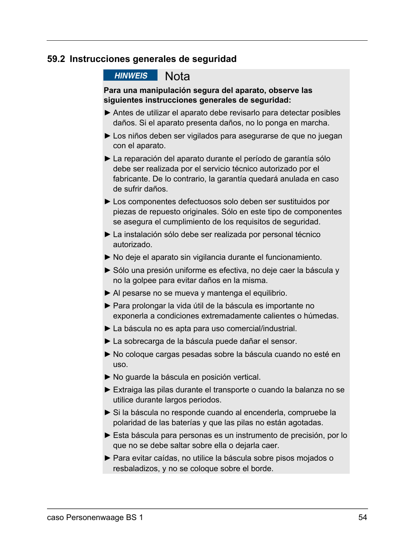#### **59.2 Instrucciones generales de seguridad**

**HINWEIS** Nota

#### **Para una manipulación segura del aparato, observe las siguientes instrucciones generales de seguridad:**

- ► Antes de utilizar el aparato debe revisarlo para detectar posibles daños. Si el aparato presenta daños, no lo ponga en marcha.
- ► Los niños deben ser vigilados para asegurarse de que no juegan con el aparato.
- ► La reparación del aparato durante el período de garantía sólo debe ser realizada por el servicio técnico autorizado por el fabricante. De lo contrario, la garantía quedará anulada en caso de sufrir daños.
- ► Los componentes defectuosos solo deben ser sustituidos por piezas de repuesto originales. Sólo en este tipo de componentes se asegura el cumplimiento de los requisitos de seguridad.
- ► La instalación sólo debe ser realizada por personal técnico autorizado.
- ► No deje el aparato sin vigilancia durante el funcionamiento.
- ► Sólo una presión uniforme es efectiva, no deje caer la báscula y no la golpee para evitar daños en la misma.
- ► Al pesarse no se mueva y mantenga el equilibrio.
- ► Para prolongar la vida útil de la báscula es importante no exponerla a condiciones extremadamente calientes o húmedas.
- ► La báscula no es apta para uso comercial/industrial.
- ► La sobrecarga de la báscula puede dañar el sensor.
- ► No coloque cargas pesadas sobre la báscula cuando no esté en uso.
- ► No guarde la báscula en posición vertical.
- ► Extraiga las pilas durante el transporte o cuando la balanza no se utilice durante largos periodos.
- ► Si la báscula no responde cuando al encenderla, compruebe la polaridad de las baterías y que las pilas no están agotadas.
- ► Esta báscula para personas es un instrumento de precisión, por lo que no se debe saltar sobre ella o dejarla caer.
- ► Para evitar caídas, no utilice la báscula sobre pisos mojados o resbaladizos, y no se coloque sobre el borde.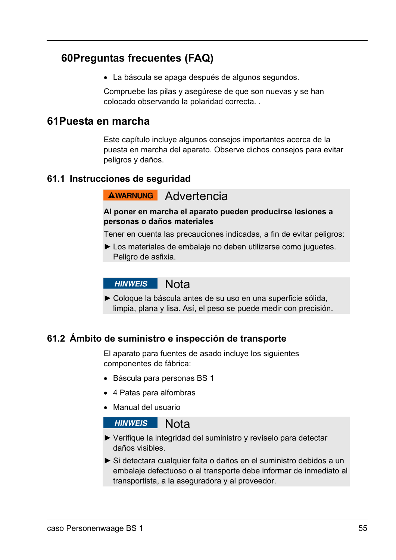# **60 Preguntas frecuentes (FAQ)**

La báscula se apaga después de algunos segundos.

Compruebe las pilas y asegúrese de que son nuevas y se han colocado observando la polaridad correcta. .

#### **61 Puesta en marcha**

Este capítulo incluye algunos consejos importantes acerca de la puesta en marcha del aparato. Observe dichos consejos para evitar peligros y daños.

#### **61.1 Instrucciones de seguridad**

# **AWARNUNG** Advertencia

#### **Al poner en marcha el aparato pueden producirse lesiones a personas o daños materiales**

Tener en cuenta las precauciones indicadas, a fin de evitar peligros:

► Los materiales de embalaje no deben utilizarse como juguetes. Peligro de asfixia.

#### **HINWEIS** Nota

► Coloque la báscula antes de su uso en una superficie sólida, limpia, plana y lisa. Así, el peso se puede medir con precisión.

#### **61.2 Ámbito de suministro e inspección de transporte**

El aparato para fuentes de asado incluye los siguientes componentes de fábrica:

- Báscula para personas BS 1
- 4 Patas para alfombras
- Manual del usuario

#### **HINWEIS Nota**

- ► Verifique la integridad del suministro y revíselo para detectar daños visibles.
- ► Si detectara cualquier falta o daños en el suministro debidos a un embalaje defectuoso o al transporte debe informar de inmediato al transportista, a la aseguradora y al proveedor.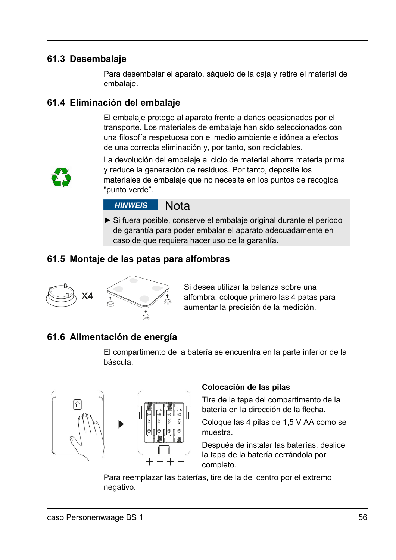### **61.3 Desembalaje**

Para desembalar el aparato, sáquelo de la caja y retire el material de embalaje.

### **61.4 Eliminación del embalaje**

El embalaje protege al aparato frente a daños ocasionados por el transporte. Los materiales de embalaje han sido seleccionados con una filosofía respetuosa con el medio ambiente e idónea a efectos de una correcta eliminación y, por tanto, son reciclables.



La devolución del embalaje al ciclo de material ahorra materia prima y reduce la generación de residuos. Por tanto, deposite los materiales de embalaje que no necesite en los puntos de recogida "punto verde".

#### **HINWEIS Nota**

► Si fuera posible, conserve el embalaje original durante el periodo de garantía para poder embalar el aparato adecuadamente en caso de que requiera hacer uso de la garantía.

### **61.5 Montaje de las patas para alfombras**



Si desea utilizar la balanza sobre una alfombra, coloque primero las 4 patas para aumentar la precisión de la medición.

## **61.6 Alimentación de energía**

El compartimento de la batería se encuentra en la parte inferior de la báscula.



#### **Colocación de las pilas**

Tire de la tapa del compartimento de la batería en la dirección de la flecha.

Coloque las 4 pilas de 1,5 V AA como se muestra.

Después de instalar las baterías, deslice la tapa de la batería cerrándola por completo.

Para reemplazar las baterías, tire de la del centro por el extremo negativo.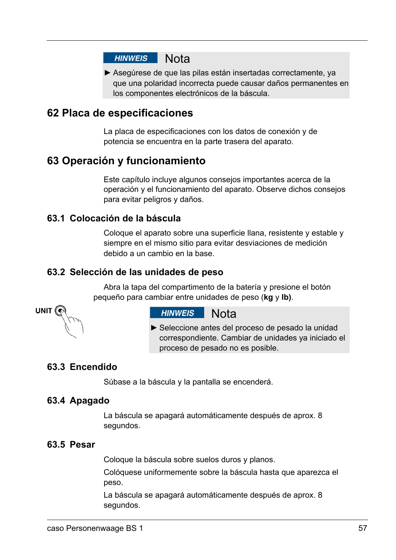# HINWEIS Nota

► Asegúrese de que las pilas están insertadas correctamente, ya que una polaridad incorrecta puede causar daños permanentes en los componentes electrónicos de la báscula.

# **62Placa de especificaciones**

La placa de especificaciones con los datos de conexión y de potencia se encuentra en la parte trasera del aparato.

# **63Operación y funcionamiento**

Este capítulo incluye algunos consejos importantes acerca de la operación y el funcionamiento del aparato. Observe dichos consejos para evitar peligros y daños.

#### **63.1 Colocación de la báscula**

Coloque el aparato sobre una superficie llana, resistente y estable y siempre en el mismo sitio para evitar desviaciones de medición debido a un cambio en la base.

#### **63.2 Selección de las unidades de peso**

Abra la tapa del compartimento de la batería y presione el botón pequeño para cambiar entre unidades de peso (**kg** y **lb)**.



#### HINWEIS Nota

► Seleccione antes del proceso de pesado la unidad correspondiente. Cambiar de unidades ya iniciado el proceso de pesado no es posible.

#### **63.3 Encendido**

Súbase a la báscula y la pantalla se encenderá.

#### **63.4 Apagado**

La báscula se apagará automáticamente después de aprox. 8 segundos.

#### **63.5 Pesar**

Coloque la báscula sobre suelos duros y planos.

Colóquese uniformemente sobre la báscula hasta que aparezca el peso.

La báscula se apagará automáticamente después de aprox. 8 segundos.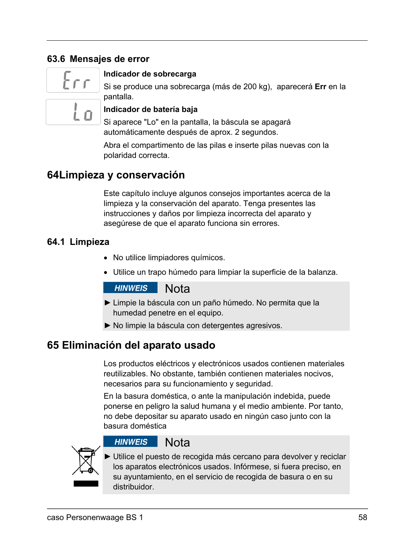### **63.6 Mensajes de error**



#### **Indicador de sobrecarga**

Si se produce una sobrecarga (más de 200 kg), aparecerá **Err** en la pantalla.

#### **Indicador de batería baja**

Si aparece "Lo" en la pantalla, la báscula se apagará automáticamente después de aprox. 2 segundos.

Abra el compartimento de las pilas e inserte pilas nuevas con la polaridad correcta.

# **64 Limpieza y conservación**

Este capítulo incluye algunos consejos importantes acerca de la limpieza y la conservación del aparato. Tenga presentes las instrucciones y daños por limpieza incorrecta del aparato y asegúrese de que el aparato funciona sin errores.

#### **64.1 Limpieza**

- No utilice limpiadores químicos.
- Utilice un trapo húmedo para limpiar la superficie de la balanza.

#### **HINWEIS Nota**

- ► Limpie la báscula con un paño húmedo. No permita que la humedad penetre en el equipo.
- ► No limpie la báscula con detergentes agresivos.

# **65Eliminación del aparato usado**

Los productos eléctricos y electrónicos usados contienen materiales reutilizables. No obstante, también contienen materiales nocivos, necesarios para su funcionamiento y seguridad.

En la basura doméstica, o ante la manipulación indebida, puede ponerse en peligro la salud humana y el medio ambiente. Por tanto, no debe depositar su aparato usado en ningún caso junto con la basura doméstica



#### **HINWEIS** Nota

► Utilice el puesto de recogida más cercano para devolver y reciclar los aparatos electrónicos usados. Infórmese, si fuera preciso, en su ayuntamiento, en el servicio de recogida de basura o en su distribuidor.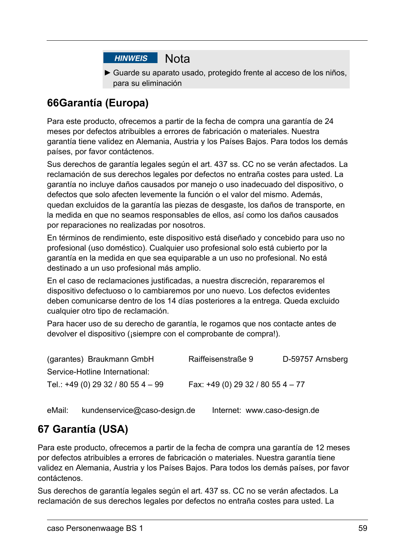

► Guarde su aparato usado, protegido frente al acceso de los niños, para su eliminación

# **66 Garantía (Europa)**

Para este producto, ofrecemos a partir de la fecha de compra una garantía de 24 meses por defectos atribuibles a errores de fabricación o materiales. Nuestra garantía tiene validez en Alemania, Austria y los Países Bajos. Para todos los demás países, por favor contáctenos.

Sus derechos de garantía legales según el art. 437 ss. CC no se verán afectados. La reclamación de sus derechos legales por defectos no entraña costes para usted. La garantía no incluye daños causados por manejo o uso inadecuado del dispositivo, o defectos que solo afecten levemente la función o el valor del mismo. Además, quedan excluidos de la garantía las piezas de desgaste, los daños de transporte, en la medida en que no seamos responsables de ellos, así como los daños causados por reparaciones no realizadas por nosotros.

En términos de rendimiento, este dispositivo está diseñado y concebido para uso no profesional (uso doméstico). Cualquier uso profesional solo está cubierto por la garantía en la medida en que sea equiparable a un uso no profesional. No está destinado a un uso profesional más amplio.

En el caso de reclamaciones justificadas, a nuestra discreción, repararemos el dispositivo defectuoso o lo cambiaremos por uno nuevo. Los defectos evidentes deben comunicarse dentro de los 14 días posteriores a la entrega. Queda excluido cualquier otro tipo de reclamación.

Para hacer uso de su derecho de garantía, le rogamos que nos contacte antes de devolver el dispositivo (¡siempre con el comprobante de compra!).

| (garantes) Braukmann GmbH           | Raiffeisenstraße 9                 | D-59757 Arnsberg |
|-------------------------------------|------------------------------------|------------------|
| Service-Hotline International:      |                                    |                  |
| Tel.: $+49(0)$ 29 32 / 80 55 4 - 99 | Fax: $+49(0)$ 29 32 / 80 55 4 - 77 |                  |

eMail: kundenservice@caso-design.de Internet: www.caso-design.de

# **67Garantía (USA)**

Para este producto, ofrecemos a partir de la fecha de compra una garantía de 12 meses por defectos atribuibles a errores de fabricación o materiales. Nuestra garantía tiene validez en Alemania, Austria y los Países Bajos. Para todos los demás países, por favor contáctenos.

Sus derechos de garantía legales según el art. 437 ss. CC no se verán afectados. La reclamación de sus derechos legales por defectos no entraña costes para usted. La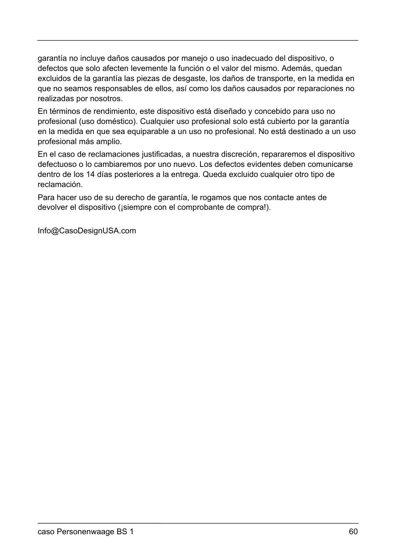garantía no incluye daños causados por manejo o uso inadecuado del dispositivo, o defectos que solo afecten levemente la función o el valor del mismo. Además, quedan excluidos de la garantía las piezas de desgaste, los daños de transporte, en la medida en que no seamos responsables de ellos, así como los daños causados por reparaciones no realizadas por nosotros.

En términos de rendimiento, este dispositivo está diseñado y concebido para uso no profesional (uso doméstico). Cualquier uso profesional solo está cubierto por la garantía en la medida en que sea equiparable a un uso no profesional. No está destinado a un uso profesional más amplio.

En el caso de reclamaciones justificadas, a nuestra discreción, repararemos el dispositivo defectuoso o lo cambiaremos por uno nuevo. Los defectos evidentes deben comunicarse dentro de los 14 días posteriores a la entrega. Queda excluido cualquier otro tipo de reclamación.

Para hacer uso de su derecho de garantía, le rogamos que nos contacte antes de devolver el dispositivo (¡siempre con el comprobante de compra!).

Info@CasoDesignUSA.com